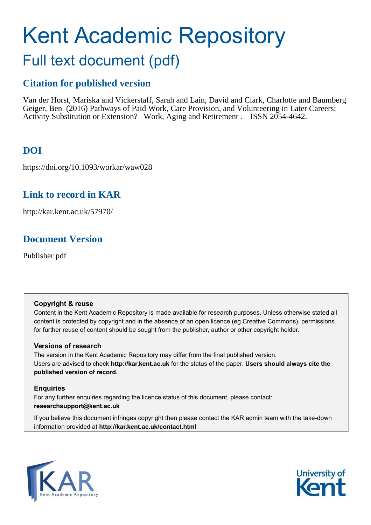# Kent Academic Repository

## Full text document (pdf)

## **Citation for published version**

Van der Horst, Mariska and Vickerstaff, Sarah and Lain, David and Clark, Charlotte and Baumberg Geiger, Ben (2016) Pathways of Paid Work, Care Provision, and Volunteering in Later Careers: Activity Substitution or Extension? Work, Aging and Retirement . ISSN 2054-4642.

## <span id="page-0-0"></span>**DOI**

https://doi.org/10.1093/workar/waw028

## **Link to record in KAR**

http://kar.kent.ac.uk/57970/

## **Document Version**

Publisher pdf

### **Copyright & reuse**

Content in the Kent Academic Repository is made available for research purposes. Unless otherwise stated all content is protected by copyright and in the absence of an open licence (eg Creative Commons), permissions for further reuse of content should be sought from the publisher, author or other copyright holder.

### **Versions of research**

The version in the Kent Academic Repository may differ from the final published version. Users are advised to check **http://kar.kent.ac.uk** for the status of the paper. **Users should always cite the published version of record.**

### **Enquiries**

For any further enquiries regarding the licence status of this document, please contact: **researchsupport@kent.ac.uk**

If you believe this document infringes copyright then please contact the KAR admin team with the take-down information provided at **http://kar.kent.ac.uk/contact.html**



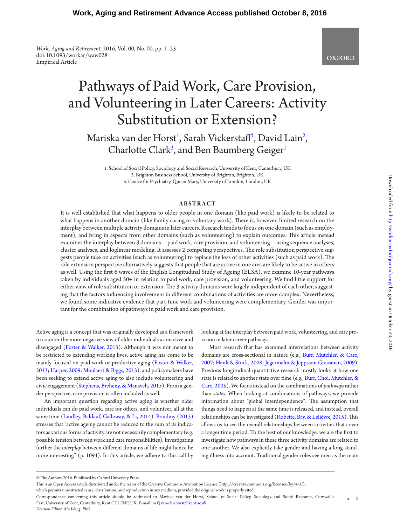*Work, Aging and Retirement*, 2016, Vol. 00, No. 00, pp. 1–23 doi:10.1093/workar/waw028 Empirical Article

## Pathways of Paid Work, Care Provision, and Volunteering in Later Careers: Activity Substitution or Extension?

Mariska van der Horst<sup>[1](#page-0-0)</sup>, Sarah Vickerstaff<sup>1</sup>, David Lain<sup>[2](#page-0-0)</sup>, Charlotte Clark<sup>[3](#page-0-0)</sup>, and Ben Baumberg Geiger<sup>[1](#page-0-0)</sup>

1. School of Social Policy, Sociology and Social Research, University of Kent, Canterbury, UK 2. Brighton Business School, University of Brighton, Brighton, UK 3. Centre for Psychiatry, Queen Mary, University of London, London, UK

#### **ABSTRACT**

It is well established that what happens to older people in one domain (like paid work) is likely to be related to what happens in another domain (like family caring or voluntary work). There is, however, limited research on the interplay between multiple activity domains in later careers. Research tends to focus on one domain (such as employment), and bring in aspects from other domains (such as volunteering) to explain outcomes. This article instead examines the interplay between *3* domains—paid work, care provision, and volunteering—using sequence analyses, cluster analyses, and loglinear modeling. It assesses 2 competing perspectives. The role substitution perspective suggests people take on activities (such as volunteering) to replace the loss of other activities (such as paid work). The role extension perspective alternatively suggests that people that are active in one area are likely to be active in others as well. Using the irst 6 waves of the English Longitudinal Study of Ageing (ELSA), we examine 10-year pathways taken by individuals aged 50+ in relation to paid work, care provision, and volunteering. We ind litle support for either view of role substitution or extension. The 3 activity domains were largely independent of each other, suggesting that the factors inluencing involvement in diferent combinations of activities are more complex. Nevertheless, we found some indicative evidence that part-time work and volunteering were complementary. Gender was important for the combination of pathways in paid work and care provision.

Active aging is a concept that was originally developed as a framework to counter the more negative view of older individuals as inactive and disengaged ([Foster & Walker, 2013](#page-15-0)). Although it was not meant to be restricted to extending working lives, active aging has come to be mainly focused on paid work or productive aging ([Foster & Walker,](#page-15-0)  [2013;](#page-15-0) [Harper, 2009;](#page-15-1) [Moulaert & Biggs, 2013](#page-16-0)), and policymakers have been seeking to extend active aging to also include volunteering and civic engagement ([Stephens, Breheny, & Mansvelt, 2015](#page-16-1)). From a gender perspective, care provision is oten included as well.

An important question regarding active aging is whether older individuals can do paid work, care for others, and volunteer, all at the same time [\(Lindley, Baldauf, Galloway, & Li, 2014\)](#page-15-2). [Boudiny \(2013\)](#page-14-0) stresses that "active ageing cannot be reduced to the sum of its indicators as various forms of activity are not necessarily complementary (e.g. possible tension between work and care responsibilities). Investigating further the *interplay* between diferent domains of life might hence be more interesting" (p. 1094). In this article, we adhere to this call by

looking at the interplay between paid work, volunteering, and care provision in later career pathways.

Most research that has examined interrelations between activity domains are cross-sectional in nature (e.g., [Burr, Mutchler, & Caro,](#page-14-1)  [2007](#page-14-1); [Hank & Stuck, 2008;](#page-15-3) [Jegermalm & Jeppsson Grassman, 2009](#page-15-4)). Previous longitudinal quantitative research mostly looks at how one state is related to another state over time (e.g., [Burr, Choi, Mutchler, &](#page-14-2)  [Caro, 2005\)](#page-14-2). We focus instead on the combinations of *pathways* rather than *states*. When looking at combinations of pathways, we provide information about "global interdependence": The assumption that things need to happen at the same time is released, and instead, overall relationships can be investigated (Robette, Bry, & Lelièvre, 2015). This allows us to see the overall relationships between activities that cover a longer time period. To the best of our knowledge, we are the irst to investigate how pathways in these three activity domains are related to one another. We also explicitly take gender and having a long-standing illness into account. Traditional gender roles see men as the main

<sup>©</sup> The Authors 2016. Published by Oxford University Press.

his is an Open Access article distributed under the terms of the Creative Commons Atribution License (htp://creativecommons.org/licenses/by/4.0/),

which permits unrestricted reuse, distribution, and reproduction in any medium, provided the original work is properly cited.

Correspondence concerning this article should be addressed to Mariska van der Horst, School of Social Policy, Sociology and Social Research, Cornwallis East, University of Kent, Canterbury, Kent CT2 7NF, UK. E-mail: [m.f.j.van-der-horst@kent.ac.uk](mailto:m.f.j.van-der-horst@kent.ac.uk?subject=) • 1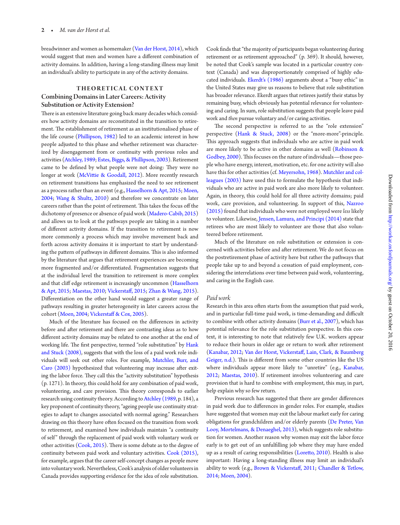breadwinner and women as homemaker [\(Van der Horst, 2014\)](#page-16-3), which would suggest that men and women have a diferent combination of activity domains. In addition, having a long-standing illness may limit an individual's ability to participate in any of the activity domains.

#### **THEORETICAL CONTEXT** Combining Domains in Later Careers: Activity Substitution or Activity Extension?

here is an extensive literature going back many decades which considers how activity domains are reconstituted in the transition to retirement. The establishment of retirement as an institutionalised phase of the life course ([Phillipson, 1982\)](#page-16-4) led to an academic interest in how people adjusted to this phase and whether retirement was characterized by disengagement from or continuity with previous roles and activities [\(Atchley, 1989;](#page-14-3) [Estes, Biggs, & Phillipson, 2003](#page-15-5)). Retirement came to be defined by what people were not doing: They were no longer at work (McVittie & Goodall, 2012). More recently research on retirement transitions has emphasized the need to see retirement as a process rather than an event (e.g., [Hasselhorn & Apt, 2015](#page-15-6); [Moen,](#page-16-6) [2004;](#page-16-6) [Wang & Shultz, 2010](#page-16-7)) and therefore we concentrate on later careers rather than the point of retirement. This takes the focus off the dichotomy of presence or absence of paid work ([Madero-Cabib, 2015\)](#page-16-8) and allows us to look at the pathways people are taking in a number of diferent activity domains. If the transition to retirement is now more commonly a process which may involve movement back and forth across activity domains it is important to start by understanding the pattern of pathways in different domains. This is also informed by the literature that argues that retirement experiences are becoming more fragmented and/or diferentiated. Fragmentation suggests that at the individual level the transition to retirement is more complex and that clif edge retirement is increasingly uncommon ([Hasselhorn](#page-15-6) [& Apt, 2015](#page-15-6); [Maestas, 2010;](#page-16-9) [Vickerstaf, 2015](#page-16-10); [Zhan & Wang, 2015\)](#page-17-0). Diferentiation on the other hand would suggest a greater range of pathways resulting in greater heterogeneity in later careers across the cohort [\(Moen, 2004](#page-16-6); [Vickerstaf & Cox, 2005\)](#page-16-11).

Much of the literature has focused on the diferences in activity before and ater retirement and there are contrasting ideas as to how diferent activity domains may be related to one another at the end of working life. The first perspective, termed "role substitution" by [Hank](#page-15-3) [and Stuck \(2008\)](#page-15-3), suggests that with the loss of a paid work role individuals will seek out other roles. For example, [Mutchler, Burr, and](#page-16-12) [Caro \(2003\)](#page-16-12) hypothesized that volunteering may increase after exiting the labor force. They call this the "activity substitution" hypothesis (p. 1271). In theory, this could hold for any combination of paid work, volunteering, and care provision. This theory corresponds to earlier research using continuity theory. According to [Atchley \(1989,](#page-14-3) p. 184), a key proponent of continuity theory, "ageing people use continuity strategies to adapt to changes associated with normal ageing." Researchers drawing on this theory have oten focused on the transition from work to retirement, and examined how individuals maintain "a continuity of self" through the replacement of paid work with voluntary work or other activities  $(Cook, 2015)$  $(Cook, 2015)$ . There is some debate as to the degree of continuity between paid work and voluntary activities. [Cook \(2015\),](#page-15-7) for example, argues that the career self-concept changes as people move into voluntary work. Nevertheless, Cook's analysis of older volunteers in Canada provides supporting evidence for the idea of role substitution.

Cook inds that "the majority of participants began volunteering during retirement or as retirement approached" (p. 369). It should, however, be noted that Cook's sample was located in a particular country context (Canada) and was disproportionately comprised of highly educated individuals. [Ekerdt's \(1986\)](#page-15-8) arguments about a "busy ethic" in the United States may give us reasons to believe that role substitution has broader relevance. Ekerdt argues that retirees justify their status by remaining busy, which obviously has potential relevance for volunteering and caring. In sum, role substitution suggests that people leave paid work and *then* pursue voluntary and/or caring activities.

The second perspective is referred to as the "role extension" perspective ([Hank & Stuck, 2008](#page-15-3)) or the "more-more"-principle. This approach suggests that individuals who are active in paid work are more likely to be active in other domains as well ([Robinson &](#page-16-13) [Godbey, 2000](#page-16-13)). This focuses on the nature of individuals—those people who have energy, interest, motivation, etc. for one activity will also have this for other activities (cf. [Meyersohn, 1968](#page-16-14)). [Mutchler and col](#page-16-12)[leagues \(2003\)](#page-16-12) have used this to formulate the hypothesis that individuals who are active in paid work are also more likely to volunteer. Again, in theory, this could hold for all three activity domains; paid work, care provision, and volunteering. In support of this, [Nazroo](#page-16-15) [\(2015\)](#page-16-15) found that individuals who were not employed were *less* likely to volunteer. Likewise, [Jensen, Lamura, and Principi \(2014\)](#page-15-9) state that retirees who are most likely to volunteer are those that also volunteered before retirement.

Much of the literature on role substitution or extension is concerned with activities before and ater retirement. We do not focus on the postretirement phase of activity here but rather the pathways that people take up to and beyond a cessation of paid employment, considering the interrelations over time between paid work, volunteering, and caring in the English case.

#### *Paid work*

Research in this area often starts from the assumption that paid work, and in particular full-time paid work, is time-demanding and difficult to combine with other activity domains [\(Burr et al., 2007](#page-14-1)), which has potential relevance for the role substitution perspective. In this context, it is interesting to note that relatively few U.K. workers appear to reduce their hours in older age or return to work ater retirement [\(Kanabar, 2012](#page-15-10); [Van der Horst, Vickerstaf, Lain, Clark, & Baumberg](#page-16-16) [Geiger, n.d.](#page-16-16)). This is different from some other countries like the US where individuals appear more likely to "unretire" (e.g., [Kanabar,](#page-15-10) [2012;](#page-15-10) [Maestas, 2010\)](#page-16-9). If retirement involves volunteering and care provision that is hard to combine with employment, this may, in part, help explain why so few return.

Previous research has suggested that there are gender diferences in paid work due to diferences in gender roles. For example, studies have suggested that women may exit the labour market early for caring obligations for grandchildren and/or elderly parents [\(De Preter, Van](#page-15-11) [Looy, Mortelmans, & Denaeghel, 2013](#page-15-11)), which suggests role substitution for women. Another reason why women may exit the labor force early is to get out of an unfulfilling job where they may have ended up as a result of caring responsibilities [\(Loreto, 2010](#page-16-17)). Health is also important: Having a long-standing illness may limit an individual's ability to work (e.g., [Brown & Vickerstaf, 2011](#page-14-4); [Chandler & Tetlow,](#page-15-12) [2014;](#page-15-12) [Moen, 2004\)](#page-16-6).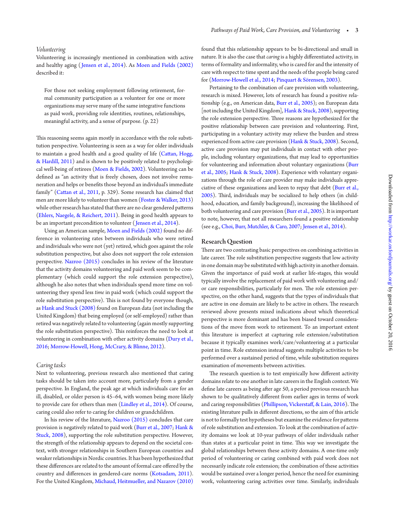#### *Volunteering*

Volunteering is increasingly mentioned in combination with active and healthy aging ( [Jensen et al., 2014\)](#page-15-9). As [Moen and Fields \(2002\)](#page-16-18) described it:

For those not seeking employment following retirement, formal community participation as a volunteer for one or more organizations may serve many of the same integrative functions as paid work, providing role identities, routines, relationships, meaningful activity, and a sense of purpose. (p. 22)

his reasoning seems again mostly in accordance with the role substitution perspective. Volunteering is seen as a way for older individuals to maintain a good health and a good quality of life [\(Catan, Hogg,](#page-15-13)  [& Hardill, 2011\)](#page-15-13) and is shown to be positively related to psychological well-being of retirees [\(Moen & Fields, 2002\)](#page-16-18). Volunteering can be defined as "an activity that is freely chosen, does not involve remuneration and helps or benefits those beyond an individual's immediate family" (Cattan et al., 2011, p. 329). Some research has claimed that men are more likely to volunteer than women ([Foster & Walker, 2013](#page-15-0)) while other research has stated that there are no clear gendered paterns [\(Ehlers, Naegele, & Reichert, 2011](#page-15-14)). Being in good health appears to be an important precondition to volunteer ( [Jensen et al., 2014](#page-15-9)).

Using an American sample, [Moen and Fields \(2002\)](#page-16-18) found no difference in volunteering rates between individuals who were retired and individuals who were not (yet) retired, which goes against the role substitution perspective, but also does not support the role extension perspective. [Nazroo \(2015\)](#page-16-15) concludes in his review of the literature that the activity domains volunteering and paid work seem to be complementary (which could support the role extension perspective), although he also notes that when individuals spend more time on volunteering they spend less *time* in paid work (which could support the role substitution perspective). This is not found by everyone though, as [Hank and Stuck \(2008\)](#page-15-3) found on European data (not including the United Kingdom) that being employed (or self-employed) rather than retired was negatively related to volunteering (again mostly supporting the role substitution perspective). This reinforces the need to look at volunteering in combination with other activity domains [\(Dury et al.,](#page-15-15)  [2016](#page-15-15); [Morrow-Howell, Hong, McCrary, & Blinne, 2012\)](#page-16-19).

#### *Caring tasks*

Next to volunteering, previous research also mentioned that caring tasks should be taken into account more, particularly from a gender perspective. In England, the peak age at which individuals care for an ill, disabled, or older person is 45–64, with women being more likely to provide care for others than men [\(Lindley et al., 2014](#page-15-2)). Of course, caring could also refer to caring for children or grandchildren.

In his review of the literature, [Nazroo \(2015\)](#page-16-15) concludes that care provision is negatively related to paid work ([Burr et al., 2007;](#page-14-1) [Hank &](#page-15-3)  [Stuck, 2008](#page-15-3)), supporting the role substitution perspective. However, the strength of the relationship appears to depend on the societal context, with stronger relationships in Southern European countries and weaker relationships in Nordic countries. It has been hypothesized that these diferences are related to the amount of formal care ofered by the country and diferences in gendered-care norms [\(Kotsadam, 2011](#page-15-16)). For the United Kingdom, [Michaud, Heitmueller, and Nazarov \(2010\)](#page-16-20) found that this relationship appears to be bi-directional and small in nature. It is also the case that *caring* is a highly diferentiated activity, in terms of formality and informality, who is cared for and the intensity of care with respect to time spent and the needs of the people being cared for ([Morrow-Howell et al., 2014;](#page-16-21) [Pinquart & Sörensen, 2003\)](#page-16-22).

Pertaining to the combination of care provision with volunteering, research is mixed. However, lots of research has found a positive relationship (e.g., on American data, [Burr et al., 2005](#page-14-2)); on European data [not including the United Kingdom], [Hank & Stuck, 2008](#page-15-3)), supporting the role extension perspective. Three reasons are hypothesized for the positive relationship between care provision and volunteering. First, participating in a voluntary activity may relieve the burden and stress experienced from active care provision ([Hank & Stuck, 2008](#page-15-3)). Second, active care provision may put individuals in contact with other people, including voluntary organizations, that may lead to opportunities for volunteering and information about voluntary organizations ([Burr](#page-14-2)  [et al., 2005](#page-14-2); [Hank & Stuck, 2008](#page-15-3)). Experience with voluntary organizations through the role of care provider may make individuals appreciative of these organizations and keen to repay that debt [\(Burr et al.,](#page-14-2)  [2005\)](#page-14-2). Third, individuals may be socialized to help others (in childhood, education, and family background), increasing the likelihood of both volunteering and care provision ([Burr et al., 2005](#page-14-2)). It is important to note, however, that not all researchers found a positive relationship (see e.g., [Choi, Burr, Mutchler, & Caro, 2007;](#page-15-17) [Jensen et al., 2014](#page-15-9)).

#### Research Question

here are two contrasting basic perspectives on combining activities in late career. The role substitution perspective suggests that low activity in one domain may be substituted with high activity in another domain. Given the importance of paid work at earlier life-stages, this would typically involve the replacement of paid work with volunteering and/ or care responsibilities, particularly for men. The role extension perspective, on the other hand, suggests that the types of individuals that are active in one domain are likely to be active in others. The research reviewed above presents mixed indications about which theoretical perspective is more dominant and has been biased toward considerations of the move from work to retirement. To an important extent this literature is imperfect at capturing role extension/substitution because it typically examines work/care/volunteering at a particular point in time. Role extension instead suggests multiple activities to be performed over a sustained period of time, while substitution requires examination of movements between activities.

The research question is to test empirically how different activity domains relate to one another in late careers in the English context. We define late careers as being after age 50, a period previous research has shown to be qualitatively diferent from earlier ages in terms of work and caring responsibilities (Phillipson, Vickerstaff, & Lain, 2016). The existing literature pulls in diferent directions, so the aim of this article is not to formally test hypotheses but examine the evidence for paterns of role substitution and extension. To look at the combination of activity domains we look at 10-year pathways of older individuals rather than states at a particular point in time. This way we investigate the global relationships between these activity domains. A one-time only period of volunteering or caring combined with paid work does not necessarily indicate role extension; the combination of these activities would be sustained over a longer period, hence the need for examining work, volunteering caring activities over time. Similarly, individuals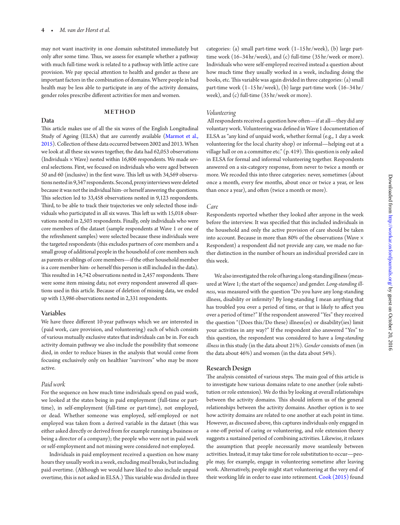may not want inactivity in one domain substituted immediately but only after some time. Thus, we assess for example whether a pathway with much full-time work is related to a pathway with litle active care provision. We pay special atention to health and gender as these are important factors in the combination of domains. Where people in bad health may be less able to participate in any of the activity domains, gender roles prescribe diferent activities for men and women.

#### **METHOD**

#### Data

his article makes use of all the six waves of the English Longitudinal Study of Ageing (ELSA) that are currently available [\(Marmot et al.,](#page-16-24) [2015](#page-16-24)). Collection of these data occurred between 2002 and 2013. When we look at all these six waves together, the data had 62,053 observations (Individuals  $\times$  Wave) nested within 16,806 respondents. We made several selections. First, we focused on individuals who were aged between 50 and 60 (inclusive) in the first wave. This left us with 34,569 observations nested in 9,347 respondents. Second, proxy interviews were deleted because it was not the individual him- or herself answering the questions. This selection led to 33,458 observations nested in 9,123 respondents. hird, to be able to track their trajectories we only selected those individuals who participated in all six waves. This left us with 15,018 observations nested in 2,503 respondents. Finally, only individuals who were core members of the dataset (sample respondents at Wave 1 or one of the refreshment samples) were selected because these individuals were the targeted respondents (this excludes partners of core members and a small group of additional people in the household of core members such as parents or siblings of core members—if the other household member is a core member him- or herself this person is still included in the data). This resulted in 14,742 observations nested in 2,457 respondents. There were some item missing data; not every respondent answered all questions used in this article. Because of deletion of missing data, we ended up with 13,986 observations nested in 2,331 respondents.

#### Variables

We have three diferent 10-year pathways which we are interested in (paid work, care provision, and volunteering) each of which consists of various mutually exclusive states that individuals can be in. For each activity domain pathway we also include the possibility that someone died, in order to reduce biases in the analysis that would come from focusing exclusively only on healthier "survivors" who may be more active.

#### *Paid work*

For the sequence on how much time individuals spend on paid work, we looked at the states being in paid employment (full-time or parttime), in self-employment (full-time or part-time), not employed, or dead. Whether someone was employed, self-employed or not employed was taken from a derived variable in the dataset (this was either asked directly or derived from for example running a business or being a director of a company); the people who were not in paid work or self-employment and not missing were considered not-employed.

Individuals in paid employment received a question on how many hours they usually work in a week, excluding meal breaks, but including paid overtime. (Although we would have liked to also include unpaid overtime, this is not asked in ELSA.) This variable was divided in three

categories: (a) small part-time work (1–15 hr/week), (b) large parttime work (16–34 hr/week), and (c) full-time (35 hr/week or more). Individuals who were self-employed received instead a question about how much time they usually worked in a week, including doing the books, etc. This variable was again divided in three categories: (a) small part-time work (1–15 hr/week), (b) large part-time work (16–34 hr/ week), and (c) full-time (35 hr/week or more).

#### *Volunteering*

 All respondents received a question how oten—if at all—they did any voluntary work. Volunteering was deined in Wave 1 documentation of ELSA as "any kind of unpaid work, whether formal (e.g., 1 day a week volunteering for the local charity shop) or informal—helping out at a village hall or on a committee etc."  $(p. 419)$ . This question is only asked in ELSA for formal and informal volunteering together. Respondents answered on a six-category response, from never to twice a month or more. We recoded this into three categories: never, sometimes (about once a month, every few months, about once or twice a year, or less than once a year), and often (twice a month or more).

#### *Care*

Respondents reported whether they looked ater anyone in the week before the interview. It was specified that this included individuals in the household and only the active provision of care should be taken into account. Because in more than 80% of the observations (Wave × Respondent) a respondent did not provide any care, we made no further distinction in the number of hours an individual provided care in this week.

We also investigated the role of having a long-standing illness (measured at Wave 1; the start of the sequence) and gender. *Long-standing illness*, was measured with the question "Do you have any long-standing illness, disability or inirmity? By long-standing I mean anything that has troubled you over a period of time, or that is likely to afect you over a period of time?" If the respondent answered "Yes" they received the question "(Does this/Do these) illness(es) or disability(ies) limit your activities in any way?" If the respondent also answered "Yes" to this question, the respondent was considered to have a *long-standing illness* in this study (in the data about 21%). *Gender* consists of men (in the data about 46%) and women (in the data about 54%).

#### Research Design

The analysis consisted of various steps. The main goal of this article is to investigate how various domains relate to one another (role substitution or role extension). We do this by looking at overall relationships between the activity domains. This should inform us of the general relationships between the activity domains. Another option is to see how activity domains are related to one another at each point in time. However, as discussed above, this captures individuals only engaged in a one-off period of caring or volunteering, and role extension theory suggests a sustained period of combining activities. Likewise, it relaxes the assumption that people necessarily move seamlessly between activities. Instead, it may take time for role substitution to occur—people may, for example, engage in volunteering sometime ater leaving work. Alternatively, people might start volunteering at the very end of their working life in order to ease into retirement. [Cook \(2015\)](#page-15-7) found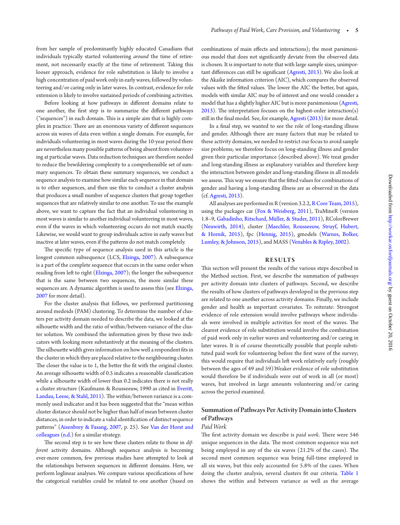<span id="page-5-0"></span>extension is likely to involve sustained periods of combining activities. Before looking at how pathways in diferent domains relate to one another, the first step is to summarize the different pathways  $("sequences")$  in each domain. This is a simple aim that is highly complex in practice: There are an enormous variety of different sequences across six waves of data even within a single domain. For example, for individuals volunteering in most waves during the 10-year period there are nevertheless many possible paterns of being absent from volunteering at particular waves. Data reduction techniques are therefore needed to reduce the bewildering complexity to a comprehensible set of summary sequences. To obtain these summary sequences, we conduct a sequence analysis to examine how similar each sequence in that domain is to other sequences, and then use this to conduct a cluster analysis that produces a small number of sequence clusters that group together sequences that are relatively similar to one another. To use the example above, we want to capture the fact that an individual volunteering in most waves is similar to another individual volunteering in most waves, even if the waves in which volunteering occurs do not match exactly. Likewise, we would want to group individuals active in early waves but inactive at later waves, even if the paterns do not match completely.

The specific type of sequence analysis used in this article is the longest common subsequence (LCS, [Elzinga, 2007\)](#page-15-18). A subsequence is a part of the complete sequence that occurs in the same order when reading from left to right [\(Elzinga, 2007\)](#page-15-18); the longer the subsequence that is the same between two sequences, the more similar these sequences are. A dynamic algorithm is used to assess this (see Elzinga, [2007](#page-15-18) for more detail).

For the cluster analysis that follows, we performed partitioning around medoids (PAM) clustering. To determine the number of clusters per activity domain needed to describe the data, we looked at the silhouette width and the ratio of within/between variance of the cluster solution. We combined the information given by these two indicators with looking more substantively at the meaning of the clusters. The silhouette width gives information on how well a respondent fits in the cluster in which they are placed relative to the neighbouring cluster. The closer the value is to 1, the better the fit with the original cluster. An average silhouette width of 0.5 indicates a reasonable classification while a silhouette width of lower than 0.2 indicates there is not really a cluster structure (Kaufmann & Rousseeuw, 1990 as cited in [Everit,](#page-15-19)  [Landau, Leese, & Stahl, 2011](#page-15-19)). The within/between variance is a commonly used indicator and it has been suggested that the "mean within cluster distance should not be higher than half of mean between cluster distances, in order to indicate a valid identification of distinct sequence paterns" [\(Aisenbrey & Fasang, 2007](#page-14-5), p. 25). See [Van der Horst and](#page-16-16)  [colleagues \(n.d.\)](#page-16-16) for a similar strategy.

The second step is to see how these clusters relate to those in *different* activity domains. Although sequence analysis is becoming ever-more common, few previous studies have atempted to look at the relationships between sequences in diferent domains. Here, we perform loglinear analyses. We compare various specifications of how the categorical variables could be related to one another (based on <span id="page-5-1"></span>combinations of main efects and interactions); the most parsimonious model that does not significantly deviate from the observed data is chosen. It is important to note that with large sample sizes, unimpor-tant differences can still be significant ([Agresti, 2013](#page-14-6)). We also look at the Akaike information criterion (AIC), which compares the observed values with the fitted values. The lower the AIC the better, but again, models with similar AIC may be of interest and one would consider a model that has a slightly higher AIC but is more parsimonious [\(Agresti,](#page-14-6)   $2013$ ). The interpretation focuses on the highest-order interaction(s) still in the final model. See, for example, [Agresti \(2013\)](#page-14-6) for more detail.

In a final step, we wanted to see the role of long-standing illness and gender. Although there are many factors that may be related to these activity domains, we needed to restrict our focus to avoid sample size problems; we therefore focus on long-standing illness and gender given their particular importance (described above). We treat gender and long-standing illness as explanatory variables and therefore keep the interaction between gender and long-standing illness in all models we assess. This way we ensure that the fitted values for combinations of gender and having a long-standing illness are as observed in the data (cf. [Agresti, 2013](#page-14-6)).

All analyses are performed in R (version 3.2.2, [R Core Team, 2015](#page-16-25)), using the packages car [\(Fox & Weisberg, 2011](#page-15-20)), TraMineR (version 1.8–9, [Gabadinho, Ritschard, Müller, & Studer, 2011](#page-15-21)), RColorBrewer [\(Neuwirth, 2014](#page-16-26)), cluster [\(Maechler, Rousseeuw, Struyf, Hubert,](#page-16-27)  [& Hornik, 2015\)](#page-16-27), fpc [\(Hennig, 2015\)](#page-15-22), gmodels [\(Warnes, Bolker,](#page-16-28)  [Lumley, & Johnson, 2015](#page-16-28)), and MASS [\(Venables & Ripley, 2002](#page-16-29)).

#### **R E S U LTS**

his section will present the results of the various steps described in the Method section. First, we describe the summation of pathways per activity domain into clusters of pathways. Second, we describe the results of how clusters of pathways developed in the previous step are related to one another across activity domains. Finally, we include gender and health as important covariates. To reiterate: Strongest evidence of role extension would involve pathways where individuals were involved in multiple activities for most of the waves. The clearest evidence of role substitution would involve the combination of paid work only in earlier waves and volunteering and/or caring in later waves. It is of course theoretically possible that people substituted paid work for volunteering before the first wave of the survey; this would require that individuals left work relatively early (roughly between the ages of 49 and 59).Weaker evidence of role substitution would therefore be if individuals were out of work in all (or most) waves, but involved in large amounts volunteering and/or caring across the period examined.

#### Summation of Pathways Per Activity Domain into Clusters of Pathways

#### *Paid Work*

The first activity domain we describe is *paid work*. There were 546 unique sequences in the data. The most common sequence was not being employed in any of the six waves  $(21.2%$  of the cases). The second most common sequence was being full-time employed in all six waves, but this only accounted for 5.8% of the cases. When doing the cluster analysis, several clusters fit our criteria. Table 1 shows the within and between variance as well as the average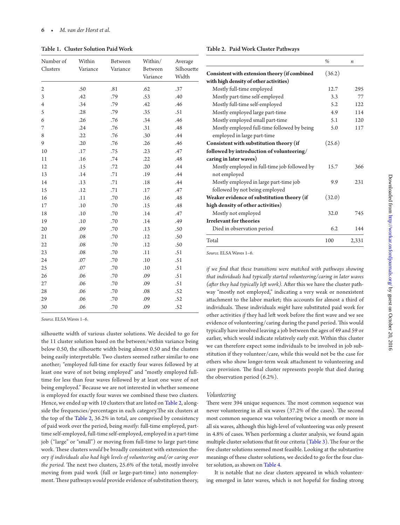Table 1. Cluster Solution Paid Work

<span id="page-6-0"></span>

| Number of<br>Clusters | Within<br>Variance | Between<br>Variance | Within/<br>Between<br>Variance | Average<br>Silhouette<br>Width |  |
|-----------------------|--------------------|---------------------|--------------------------------|--------------------------------|--|
| 2                     | .50                | .81                 | .62                            | .37                            |  |
| 3                     | .42                | .79                 | .53                            | .40                            |  |
| $\overline{4}$        | .34                | .79                 | .42                            | .46                            |  |
| 5                     | .28                | .79                 | .35                            | .51                            |  |
| 6                     | .26                | .76                 | .34                            | .46                            |  |
| 7                     | .24                | .76                 | .31                            | .48                            |  |
| 8                     | .22                | .76                 | .30                            | .44                            |  |
| 9                     | .20                | .76                 | .26                            | .46                            |  |
| 10                    | .17                | .75                 | .23                            | .47                            |  |
| 11                    | .16                | .74                 | .22                            | .48                            |  |
| 12                    | .15                | .72                 | .20                            | .44                            |  |
| 13                    | .14                | .71                 | .19                            | .44                            |  |
| 14                    | .13                | .71                 | .18                            | .44                            |  |
| 15                    | .12                | .71                 | .17                            | .47                            |  |
| 16                    | .11                | .70                 | .16                            | .48                            |  |
| 17                    | .10                | .70                 | .15                            | .48                            |  |
| 18                    | .10                | .70                 | .14                            | .47                            |  |
| 19                    | .10                | .70                 | .14                            | .49                            |  |
| 20                    | .09                | .70                 | .13                            | .50                            |  |
| 21                    | .08                | .70                 | .12                            | .50                            |  |
| 22                    | .08                | .70                 | .12                            | .50                            |  |
| 23                    | .08                | .70                 | .11                            | .51                            |  |
| 24                    | .07                | .70                 | .10                            | .51                            |  |
| 25                    | .07                | .70                 | .10                            | .51                            |  |
| 26                    | .06                | .70                 | .09                            | .51                            |  |
| $27\,$                | .06                | .70                 | .09                            | .51                            |  |
| 28                    | .06                | .70                 | .08                            | .52                            |  |
| 29                    | .06                | .70                 | .09                            | .52                            |  |
| 30                    | .06                | .70                 | .09                            | .52                            |  |

*Source.* ELSA Waves 1–6.

<span id="page-6-1"></span>silhouette width of various cluster solutions. We decided to go for the 11 cluster solution based on the between/within variance being below 0.50, the silhouette width being almost 0.50 and the clusters being easily interpretable. Two clusters seemed rather similar to one another; "employed full-time for exactly four waves followed by at least one wave of not being employed" and "mostly employed fulltime for less than four waves followed by at least one wave of not being employed." Because we are not interested in whether someone is employed for exactly four waves we combined these two clusters. Hence, we ended up with 10 clusters that are listed on [Table 2](#page-5-1), alongside the frequencies/percentages in each category. The six clusters at the top of the [Table 2,](#page-5-1) 36.2% in total, are comprised by consistency of paid work over the period, being *mostly*: full-time employed, parttime self-employed, full-time self-employed, employed in a part-time job ("large" or "small") or moving from full-time to large part-time work. These clusters *would* be broadly consistent with extension theory *if individuals also had high levels of volunteering and/or caring over the period*. The next two clusters, 25.6% of the total, mostly involve moving from paid work (full or large-part-time) into nonemployment. These pathways *would* provide evidence of substitution theory,

Table 2. Paid Work Cluster Pathways

|                                                                            | $\%$   | п     |
|----------------------------------------------------------------------------|--------|-------|
| Consistent with extension theory (if combined                              | (36.2) |       |
| with high density of other activities)                                     |        |       |
| Mostly full-time employed                                                  | 12.7   | 295   |
| Mostly part-time self-employed                                             | 3.3    | 77    |
| Mostly full-time self-employed                                             | 5.2    | 12.2. |
| Mostly employed large part-time                                            | 4.9    | 114   |
| Mostly employed small part-time                                            | 5.1    | 120   |
| Mostly employed full-time followed by being<br>employed in large part-time | 5.0    | 117   |
| Consistent with substitution theory (if                                    | (25.6) |       |
| followed by introduction of volunteering/                                  |        |       |
| caring in later waves)                                                     |        |       |
| Mostly employed in full-time job followed by<br>not employed               | 15.7   | 366   |
| Mostly employed in large part-time job                                     | 9.9    | 231   |
| followed by not being employed                                             |        |       |
| Weaker evidence of substitution theory (if                                 | (32.0) |       |
| high density of other activities)                                          |        |       |
| Mostly not employed                                                        | 32.0   | 745   |
| <b>Irrelevant for theories</b>                                             |        |       |
| Died in observation period                                                 | 6.2    | 144   |
| Total                                                                      | 100    | 2,331 |

<span id="page-6-2"></span>*Source.* ELSA Waves 1–6.

*if we find that these transitions were matched with pathways showing that individuals had typically started volunteering/caring in later waves (ater they had typically let work).* Ater this we have the cluster pathway "mostly not employed," indicating a very weak or nonexistent atachment to the labor market; this accounts for almost a third of individuals. These individuals *might* have substituted paid work for other activities *if* they had left work before the first wave and we see evidence of volunteering/caring during the panel period. This would typically have involved leaving a job between the ages of 49 and 59 or earlier, which would indicate relatively early exit. Within this cluster we can therefore expect some individuals to be involved in job substitution if they volunteer/care, while this would not be the case for others who show longer-term weak atachment to volunteering and care provision. The final cluster represents people that died during the observation period (6.2%).

#### *Volunteering*

There were 394 unique sequences. The most common sequence was never volunteering in all six waves  $(37.2%$  of the cases). The second most common sequence was volunteering twice a month or more in all six waves, although this high-level of volunteering was only present in 4.8% of cases. When performing a cluster analysis, we found again multiple cluster solutions that fit our criteria ([Table 3](#page-6-0)). The four or the five cluster solutions seemed most feasible. Looking at the substantive meanings of these cluster solutions, we decided to go for the four cluster solution, as shown on [Table 4](#page-6-1).

It is notable that no clear clusters appeared in which volunteering emerged in later waves, which is not hopeful for finding strong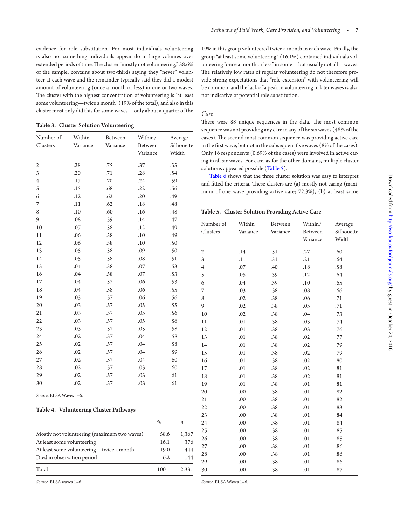<span id="page-7-0"></span>evidence for role substitution. For most individuals volunteering is also not something individuals appear do in large volumes over extended periods of time. The cluster "mostly not volunteering," 58.6% of the sample, contains about two-thirds saying they "never" volunteer at each wave and the remainder typically said they did a modest amount of volunteering (once a month or less) in one or two waves. The cluster with the highest concentration of volunteering is "at least some volunteering—twice a month" (19% of the total), and also in this cluster most only did this for some waves—only about a quarter of the

Table 3. Cluster Solution Volunteering

| Number of        | Within   | Between  | Within/  | Average    |
|------------------|----------|----------|----------|------------|
| Clusters         | Variance | Variance | Between  | Silhouette |
|                  |          |          | Variance | Width      |
| $\boldsymbol{2}$ | .28      | .75      | .37      | .55        |
| 3                | .20      | .71      | .28      | .54        |
| $\overline{4}$   | $.17\,$  | .70      | .24      | .59        |
| 5                | .15      | .68      | .22      | .56        |
| 6                | .12      | .62      | .20      | .49        |
| 7                | $.11\,$  | .62      | .18      | .48        |
| 8                | .10      | .60      | .16      | .48        |
| 9                | .08      | .59      | .14      | .47        |
| 10               | .07      | .58      | .12      | .49        |
| 11               | .06      | .58      | .10      | .49        |
| 12               | .06      | .58      | .10      | .50        |
| 13               | .05      | .58      | .09      | .50        |
| 14               | .05      | .58      | .08      | .51        |
| 15               | .04      | .58      | .07      | .53        |
| 16               | .04      | .58      | .07      | .53        |
| 17               | .04      | .57      | .06      | .53        |
| 18               | .04      | .58      | .06      | .55        |
| 19               | .03      | .57      | .06      | .56        |
| 20               | .03      | .57      | .05      | .55        |
| 21               | .03      | .57      | .05      | .56        |
| 22               | .03      | .57      | .05      | .56        |
| 23               | .03      | .57      | .05      | .58        |
| 24               | .02      | .57      | .04      | .58        |
| 25               | .02      | .57      | .04      | .58        |
| 26               | .02      | .57      | .04      | .59        |
| 27               | .02      | .57      | .04      | .60        |
| 28               | .02      | .57      | .03      | .60        |
| 29               | .02      | .57      | .03      | .61        |
| 30               | .02      | .57      | .03      | .61        |
|                  |          |          |          |            |

*Source.* ELSA Waves 1–6.

#### Table 4. Volunteering Cluster Pathways

| %    | п     |
|------|-------|
| 58.6 | 1,367 |
| 16.1 | 376   |
| 19.0 | 444   |
| 6.2  | 144   |
| 100  | 2,331 |
|      |       |

19% in this group volunteered twice a month in each wave. Finally, the group "at least some volunteering" (16.1%) contained individuals volunteering "once a month or less" in some—but usually not all—waves. he relatively low rates of regular volunteering do not therefore provide strong expectations that "role extension" with volunteering will be common, and the lack of a peak in volunteering in later waves is also not indicative of potential role substitution.

#### *Care*

There were 88 unique sequences in the data. The most common sequence was not providing any care in any of the six waves (48% of the cases). The second most common sequence was providing active care in the first wave, but not in the subsequent five waves (8% of the cases). Only 16 respondents (0.69% of the cases) were involved in active caring in all six waves. For care, as for the other domains, multiple cluster solutions appeared possible ([Table 5](#page-6-2)).

[Table 6](#page-7-0) shows that the three cluster solution was easy to interpret and fitted the criteria. These clusters are  $(a)$  mostly not caring (maximum of one wave providing active care; 72.3%), (b) at least some

Table 5. Cluster Solution Providing Active Care

| Number of      | Within   | Between  | Within/  | Average    |
|----------------|----------|----------|----------|------------|
| Clusters       | Variance | Variance | Between  | Silhouette |
|                |          |          | Variance | Width      |
| 2              | .14      | .51      | .27      | .60        |
| 3              | .11      | .51      | .21      | .64        |
| $\overline{4}$ | .07      | .40      | .18      | .58        |
| 5              | .05      | .39      | .12      | .64        |
| 6              | .04      | .39      | .10      | .65        |
| 7              | .03      | .38      | .08      | .66        |
| 8              | .02      | .38      | .06      | .71        |
| 9              | .02      | .38      | .05      | .71        |
| 10             | .02      | .38      | .04      | .73        |
| 11             | .01      | .38      | .03      | .74        |
| 12             | .01      | .38      | .03      | .76        |
| 13             | .01      | .38      | .02      | .77        |
| 14             | .01      | .38      | .02      | .79        |
| 15             | .01      | .38      | .02      | .79        |
| 16             | .01      | .38      | .02      | .80        |
| 17             | .01      | .38      | .02      | .81        |
| 18             | .01      | .38      | .02      | .81        |
| 19             | .01      | .38      | .01      | .81        |
| 20             | .00      | .38      | .01      | .82        |
| 21             | .00      | .38      | .01      | .82        |
| 22             | .00      | .38      | .01      | .83        |
| 23             | .00      | .38      | .01      | .84        |
| 24             | .00      | .38      | .01      | .84        |
| 25             | .00      | .38      | .01      | .85        |
| 26             | .00      | .38      | .01      | .85        |
| 27             | .00      | .38      | .01      | .86        |
| 28             | .00      | .38      | .01      | .86        |
| 29             | .00      | .38      | .01      | .86        |
| 30             | .00      | .38      | .01      | .87        |

*Source.* ELSA waves 1–6

*Source.* ELSA Waves 1–6.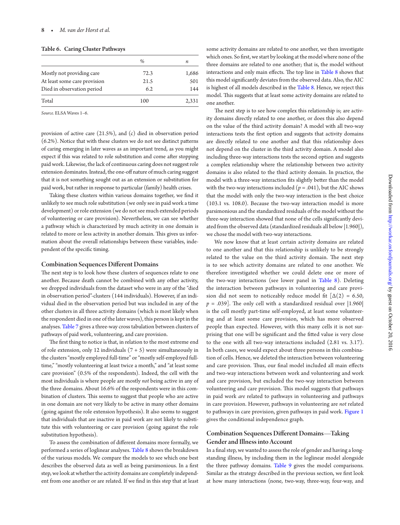Table 6. Caring Cluster Pathways

|                              | %    | п     |
|------------------------------|------|-------|
| Mostly not providing care    | 72.3 | 1,686 |
| At least some care provision | 21.5 | 501   |
| Died in observation period   | 6.2  | 144   |
| Total                        | 100  | 2,331 |

*Source.* ELSA Waves 1–6.

provision of active care (21.5%), and (c) died in observation period (6.2%). Notice that with these clusters we do not see distinct paterns of caring emerging in later waves as an important trend, as you might expect if this was related to role substitution and come ater stopping paid work. Likewise, the lack of continuous caring does not suggest role extension dominates. Instead, the one-of nature of much caring suggest that it is not something sought out as an extension or substitution for paid work, but rather in response to particular (family) health crises.

Taking these clusters within various domains together, we find it unlikely to see much role substitution (we only see in paid work a time development) or role extension (we do not see much extended periods of volunteering or care provision). Nevertheless, we can see whether a pathway which is characterized by much activity in one domain is related to more or less activity in another domain. This gives us information about the overall relationships between these variables, independent of the specific timing.

#### <span id="page-8-0"></span>Combination Sequences Diferent Domains

The next step is to look how these clusters of sequences relate to one another. Because death cannot be combined with any other activity, we dropped individuals from the dataset who were in any of the "died in observation period"-clusters (144 individuals). However, if an individual died in the observation period but was included in any of the other clusters in all three activity domains (which is most likely when the respondent died in one of the later waves), this person is kept in the analyses. [Table 7](#page-8-0) gives a three-way cross tabulation between clusters of pathways of paid work, volunteering, and care provision.

The first thing to notice is that, in relation to the most extreme end of role extension, only 12 individuals  $(7 + 5)$  were simultaneously in the clusters "mostly employed full-time" or "mostly self-employed fulltime," "mostly volunteering at least twice a month," and "at least some care provision" (0.5% of the respondents). Indeed, the cell with the most individuals is where people are mostly *not* being active in any of the three domains. About 16.6% of the respondents were in this combination of clusters. This seems to suggest that people who are active in one domain are not very likely to be active in many other domains (going against the role extension hypothesis). It also seems to suggest that individuals that are inactive in paid work are not likely to substitute this with volunteering or care provision (going against the role substitution hypothesis).

To assess the combination of diferent domains more formally, we performed a series of loglinear analyses. [Table 8](#page-9-0) shows the breakdown of the various models. We compare the models to see which one best describes the observed data as well as being parsimonious. In a first step, we look at whether the activity domains are completely independent from one another or are related. If we find in this step that at least some activity domains are related to one another, we then investigate which ones. So first, we start by looking at the model where none of the three domains are related to one another; that is, the model without interactions and only main effects. The top line in [Table 8](#page-9-0) shows that this model significantly deviates from the observed data. Also, the AIC is highest of all models described in the [Table 8](#page-9-0). Hence, we reject this model. This suggests that at least some activity domains are related to one another.

The next step is to see how complex this relationship is; are activity domains directly related to one another, or does this also depend on the value of the third activity domain? A model with all two-way interactions tests the first option and suggests that activity domains are directly related to one another and that this relationship does not depend on the cluster in the third activity domain. A model also including three-way interactions tests the second option and suggests a complex relationship where the relationship between two activity domains is also related to the third activity domain. In practice, the model with a three-way interaction fits slightly better than the model with the two-way interactions included  $(p = .041)$ , but the AIC shows that the model with only the two-way interaction is the best choice (103.1 vs. 108.0). Because the two-way interaction model is more parsimonious and the standardized residuals of the model without the three-way interaction showed that none of the cells significantly deviated from the observed data (standardized residuals all below |1.960|), we chose the model with two-way interactions.

We now know that at least certain activity domains are related to one another and that this relationship is unlikely to be strongly related to the value on the third activity domain. The next step is to see which activity domains are related to one another. We therefore investigated whether we could delete one or more of the two-way interactions (see lower panel in [Table 8](#page-9-0)). Deleting the interaction between pathways in volunteering and care provision did not seem to noticeably reduce model fit  $\lceil \Delta(2) \rceil$  = 6.50,  $p = .039$ ]. The only cell with a standardized residual over  $|1.960|$ is the cell mostly part-time self-employed, at least some volunteering and at least some care provision, which has more observed people than expected. However, with this many cells it is not surprising that one will be significant and the fitted value is very close to the one with all two-way interactions included (2.81 vs. 3.17). In both cases, we would expect about three persons in this combination of cells. Hence, we deleted the interaction between volunteering and care provision. Thus, our final model included all main effects and two-way interactions between work and volunteering and work and care provision, but excluded the two-way interaction between volunteering and care provision. This model suggests that pathways in paid work *are* related to pathways in volunteering and pathways in care provision. However, pathways in volunteering are *not* related to pathways in care provision, given pathways in paid work. [Figure 1](#page-9-1) gives the conditional independence graph.

#### Combination Sequences Diferent Domains—Taking Gender and Illness into Account

In a final step, we wanted to assess the role of gender and having a longstanding illness, by including them in the loglinear model alongside the three pathway domains. Table 9 gives the model comparisons. Similar as the strategy described in the previous section, we first look at how many interactions (none, two-way, three-way, four-way, and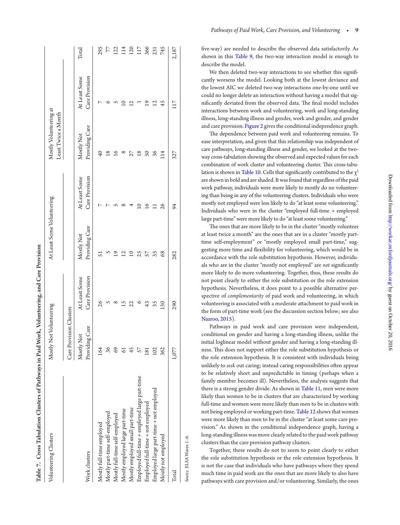<span id="page-9-0"></span>

| Table 7. Cross Tabulation Clusters of Pathways in Paid Work, Volunteering, and Care Provision |                              |                                 |                              |                                 |                                               |                                 |       |
|-----------------------------------------------------------------------------------------------|------------------------------|---------------------------------|------------------------------|---------------------------------|-----------------------------------------------|---------------------------------|-------|
| Volunteering Clusters                                                                         | Mostly Not Volunteering      |                                 | At Least Some Volunteering   |                                 | Mostly Volunteering at<br>Least Twice a Month |                                 |       |
|                                                                                               | Care Provision Clusters      |                                 |                              |                                 |                                               |                                 |       |
| Work clusters                                                                                 | Providing Care<br>Mostly Not | Care Provision<br>At Least Some | Providing Care<br>Mostly Not | Care Provision<br>At Least Some | Providing Care<br>Mostly Not                  | Care Provision<br>At Least Some | Total |
| Mostly full-time employed                                                                     | 164                          | 26                              |                              |                                 | $\overline{4}$                                |                                 | 295   |
|                                                                                               |                              |                                 |                              |                                 |                                               |                                 |       |
| Mostly part-time self-employed                                                                | 36                           |                                 |                              |                                 | $\frac{8}{2}$                                 |                                 | 77    |
| Mostly full-time self-employed                                                                | 69                           |                                 | $\overline{9}$               |                                 |                                               |                                 | 122   |
| Mostly employed large part-time                                                               |                              | $^{15}$                         | 7<br>⊆                       |                                 |                                               |                                 | 114   |
| Mostly employed small part-time                                                               | 45                           | 22                              |                              |                                 | ş<br>ĩ                                        | 2                               | 120   |
| Employed full-time > employed large part-time                                                 | 57                           | $\circ$                         | 25                           |                                 | $\frac{8}{10}$                                |                                 | 117   |
| Employed full-time > not employed                                                             | $\overline{81}$              | 43                              | 57                           | $\overline{16}$                 | SO                                            | $\overline{9}$                  | 366   |
| Employed large part-time $\rightarrow$ not employed                                           | 102                          | 35                              | 35                           |                                 | 36                                            | 71<br>2                         | 231   |
| Mostly not employed                                                                           | 362                          | 130                             | 68                           | 26                              | $\vec{\exists}$                               | 45                              | 745   |
| Total                                                                                         | 1,077                        | 290                             | 282                          | 94                              | 327                                           | 117                             | 2,187 |
|                                                                                               |                              |                                 |                              |                                 |                                               |                                 |       |

five-way) are needed to describe the observed data satisfactorily. As shown in this Table 9, the two-way interaction model is enough to describe the model.

We then deleted two-way interactions to see whether this significantly worsens the model. Looking both at the lowest deviance and the lowest AIC we deleted two-way interactions one-by-one until we could no longer delete an interaction without having a model that sig nificantly deviated from the observed data. The final model includes interactions between work and volunteering, work and long-standing illness, long-standing illness and gender, work and gender, and gender and care provision. [Figure 2](#page-12-0) gives the conditional independence graph.

<span id="page-9-1"></span>The dependence between paid work and volunteering remains. To ease interpretation, and given that this relationship was independent of care pathways, long-standing illness and gender, we looked at the twoway cross-tabulation showing the observed and expected values for each combination of work cluster and volunteering cluster. This cross-tabu-lation is shown in [Table 10.](#page-12-1) Cells that significantly contributed to the  $\chi^2$ are shown in bold and are shaded. It was found that regardless of the paid work pathway, individuals were more likely to mostly do no volunteer ing than being in any of the volunteering clusters. Individuals who were mostly not employed were less likely to do "at least some volunteering." Individuals who were in the cluster "employed full-time → employed large part-time" were more likely to do "at least some volunteering."

he ones that are more likely to be in the cluster "mostly volunteer at least twice a month" are the ones that are in a cluster "mostly parttime self-employment" or "mostly employed small part-time," suggesting more time and lexibility for volunteering, which would be in accordance with the role substitution hypothesis. However, individu als who are in the cluster "mostly not employed" are *not* significantly more likely to do more volunteering. Together, thus, these results do not point clearly to either the role substitution or the role extension hypothesis. Nevertheless, it does point to a possible alternative per spective of *complementarity* of paid work and volunteering, in which volunteering is associated with a moderate atachment to paid work in the form of part-time work (see the discussion section below; see also [Nazroo, 2015](#page-16-15)).

Pathways in paid work and care provision were independent, conditional on gender and having a long-standing illness, unlike the initial loglinear model without gender and having a long-standing ill ness. This does not support either the role substitution hypothesis or the role extension hypothesis. It is consistent with individuals being unlikely to *seek* out caring; instead caring responsibilities oten appear to be relatively short and unpredictable in timing (perhaps when a family member becomes ill). Nevertheless, the analysis suggests that there is a strong gender divide. As shown in [Table 11](#page-13-0), men were more likely than women to be in clusters that are characterized by working full-time and women were more likely than men to be in clusters with not being employed or working part-time. [Table 12](#page-13-1) shows that women were more likely than men to be in the cluster "at least some care pro vision." As shown in the conditional independence graph, having a long-standing illness was more clearly related to the paid work pathway clusters than the care provision pathway clusters.

Together, these results do not to seem to point clearly to either the role substitution hypothesis or the role extension hypothesis. It is not the case that individuals who have pathways where they spend much time in paid work are the ones that are more likely to also have pathways with care provision and/or volunteering. Similarly, the ones

*Source.* ELSA Waves 1–6.

Source. ELSA Waves 1-6.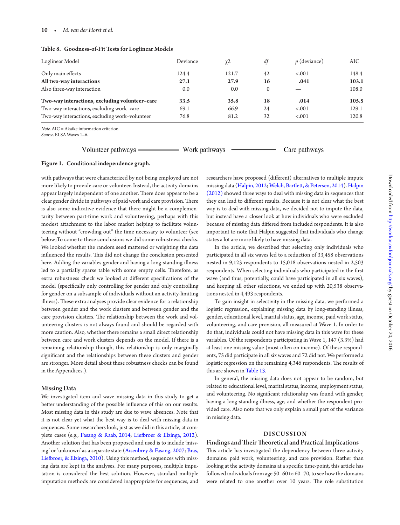#### Table 8. Goodness-of-Fit Tests for Loglinear Models

| Loglinear Model                                | Deviance | $\chi^2$ | df       | <i>p</i> (deviance) | AIC.  |
|------------------------------------------------|----------|----------|----------|---------------------|-------|
| Only main effects                              | 124.4    | 121.7    | 42       | $-.001$             | 148.4 |
| All two-way interactions                       | 27.1     | 27.9     | 16       | .041                | 103.1 |
| Also three-way interaction                     | 0.0      | 0.0      | $\Omega$ |                     | 108.0 |
| Two-way interactions, excluding volunteer-care | 33.5     | 35.8     | 18       | .014                | 105.5 |
| Two-way interactions, excluding work-care      | 69.1     | 66.9     | 24       | $-.001$             | 129.1 |
| Two-way interactions, excluding work-volunteer | 76.8     | 81.2     | 32       | $-.001$             | 120.8 |

*Note.* AIC = Akaike information criterion.

*Source.* ELSA Waves 1–6.

Volunteer pathways -

- Work pathways

Care pathways

#### Figure 1. Conditional independence graph.

<span id="page-10-0"></span>with pathways that were characterized by not being employed are not more likely to provide care or volunteer. Instead, the activity domains appear largely independent of one another. There does appear to be a clear gender divide in pathways of paid work and care provision. There is also some indicative evidence that there might be a complementarity between part-time work and volunteering, perhaps with this modest atachment to the labor market helping to facilitate volunteering without "crowding out" the time necessary to volunteer (see below;To come to these conclusions we did some robustness checks. We looked whether the random seed matered or weighting the data influenced the results. This did not change the conclusion presented here. Adding the variables gender and having a long-standing illness led to a partially sparse table with some empty cells. Therefore, as extra robustness check we looked at different specifications of the model (specifically only controlling for gender and only controlling for gender on a subsample of individuals without an activity-limiting illness). These extra analyses provide clear evidence for a relationship between gender and the work clusters and between gender and the care provision clusters. The relationship between the work and volunteering clusters is not always found and should be regarded with more caution. Also, whether there remains a small direct relationship between care and work clusters depends on the model. If there is a remaining relationship though, this relationship is only marginally significant and the relationships between these clusters and gender are stronger. More detail about these robustness checks can be found in the Appendices.).

#### Missing Data

We investigated item and wave missing data in this study to get a better understanding of the possible influence of this on our results. Most missing data in this study are due to wave absences. Note that it is not clear yet what the best way is to deal with missing data in sequences. Some researchers look, just as we did in this article, at complete cases (e.g., [Fasang & Raab, 2014](#page-15-23); [Liebroer & Elzinga, 2012\)](#page-15-24). Another solution that has been proposed and used is to include 'missing' or 'unknown' as a separate state [\(Aisenbrey & Fasang, 2007;](#page-14-5) [Bras,](#page-14-7) Liefbroer, & Elzinga, 2010). Using this method, sequences with missing data are kept in the analyses. For many purposes, multiple imputation is considered the best solution. However, standard multiple imputation methods are considered inappropriate for sequences, and

researchers have proposed (diferent) alternatives to multiple impute missing data ([Halpin, 2012](#page-15-25); [Welch, Bartlet, & Petersen, 2014](#page-17-1)). [Halpin](#page-15-25) [\(2012\)](#page-15-25) showed three ways to deal with missing data in sequences that they can lead to diferent results. Because it is not clear what the best way is to deal with missing data, we decided not to impute the data, but instead have a closer look at how individuals who were excluded because of missing data difered from included respondents. It is also important to note that Halpin suggested that individuals who change states a lot are more likely to have missing data.

In the article, we described that selecting only individuals who participated in all six waves led to a reduction of 33,458 observations nested in 9,123 respondents to 15,018 observations nested in 2,503 respondents. When selecting individuals who participated in the first wave (and thus, potentially, could have participated in all six waves), and keeping all other selections, we ended up with 20,538 observations nested in 4,493 respondents.

To gain insight in selectivity in the missing data, we performed a logistic regression, explaining missing data by long-standing illness, gender, educational level, marital status, age, income, paid work status, volunteering, and care provision, all measured at Wave 1. In order to do that, individuals could not have missing data in this wave for these variables. Of the respondents participating in Wave 1, 147 (3.3%) had at least one missing value (most oten on income). Of these respondents, 75 did participate in all six waves and 72 did not. We performed a logistic regression on the remaining 4,346 respondents. The results of this are shown in [Table 13.](#page-14-8)

In general, the missing data does not appear to be random, but related to educational level, marital status, income, employment status, and volunteering. No significant relationship was found with gender, having a long-standing illness, age, and whether the respondent provided care. Also note that we only explain a small part of the variance in missing data.

#### **DISCUSSION**

#### Findings and Their Theoretical and Practical Implications

his article has investigated the dependency between three activity domains: paid work, volunteering, and care provision. Rather than looking at the activity domains at a specific time-point, this article has followed individuals from age 50–60 to 60–70, to see how the domains were related to one another over 10 years. The role substitution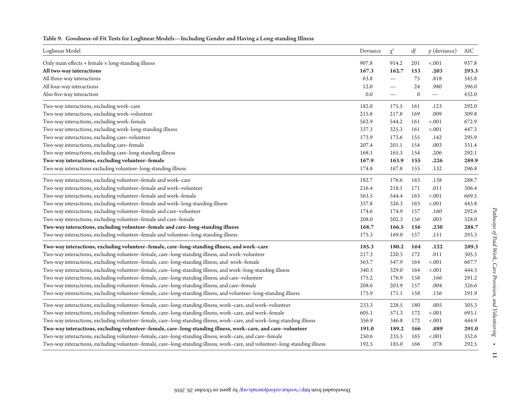| Loglinear Model                                                                                                              | Deviance | $\chi^2$                         | df               | $p$ (deviance)           | AIC   |
|------------------------------------------------------------------------------------------------------------------------------|----------|----------------------------------|------------------|--------------------------|-------|
| Only main effects $+$ female $\times$ long-standing illness                                                                  | 907.8    | 914.2                            | 201              | $-.001$                  | 937.8 |
| All two-way interactions                                                                                                     | 167.3    | 162.7                            | 153              | .203                     | 293.3 |
| All three-way interactions                                                                                                   | 63.8     | $\overbrace{\phantom{12322111}}$ | 75               | .818                     | 345.8 |
| All four-way interactions                                                                                                    | 12.0     | $\overline{\phantom{0}}$         | 24               | .980                     | 396.0 |
| Also five-way interaction                                                                                                    | $0.0\,$  |                                  | $\boldsymbol{0}$ | $\overline{\phantom{m}}$ | 432.0 |
| Two-way interactions, excluding work-care                                                                                    | 182.0    | 175.5                            | 161              | .123                     | 292.0 |
| Two-way interactions, excluding work-volunteer                                                                               | 215.8    | 217.8                            | 169              | .009                     | 309.8 |
| Two-way interactions, excluding work-female                                                                                  | 562.9    | 544.2                            | 161              | $-.001$                  | 672.9 |
| Two-way interactions, excluding work-long-standing illness                                                                   | 337.3    | 325.3                            | 161              | $-.001$                  | 447.3 |
| Two-way interactions, excluding care-volunteer                                                                               | 173.9    | 173.6                            | 155              | .142                     | 295.9 |
| Two-way interactions, excluding care-female                                                                                  | 207.4    | 201.1                            | 154              | .003                     | 331.4 |
| Two-way interactions, excluding care-long-standing illness                                                                   | 168.1    | 165.3                            | 154              | .206                     | 292.1 |
| Two-way interactions, excluding volunteer-female                                                                             | 167.9    | 163.9                            | 155              | .226                     | 289.9 |
| Two-way interactions excluding volunteer-long-standing illness                                                               | 174.8    | 167.8                            | 155              | .132                     | 296.8 |
| Two-way interactions, excluding volunteer-female and work-care                                                               | 182.7    | 176.6                            | 163              | .138                     | 288.7 |
| Two-way interactions, excluding volunteer-female and work-volunteer                                                          | 216.4    | 218.1                            | 171              | .011                     | 306.4 |
| Two-way interactions, excluding volunteer-female and work-female                                                             | 563.5    | 544.4                            | 163              | $-.001$                  | 669.5 |
| Two-way interactions, excluding volunteer-female and work-long-standing illness                                              | 337.8    | 326.3                            | 163              | $-.001$                  | 443.8 |
| Two-way interactions, excluding volunteer-female and care-volunteer                                                          | 174.6    | 174.9                            | 157              | .160                     | 292.6 |
| Two-way interactions, excluding volunteer-female and care-female                                                             | 208.0    | 202.3                            | 156              | .003                     | 328.0 |
| Two-way interactions, excluding volunteer-female and care-long-standing illness                                              | 168.7    | 166.5                            | 156              | .230                     | 288.7 |
| Two-way interactions, excluding volunteer-female and volunteer-long-standing illness                                         | 175.3    | 169.0                            | 157              | .151                     | 293.3 |
| Two-way interactions, excluding volunteer-female, care-long-standing illness, and work-care                                  | 185.3    | 180.2                            | 164              | .122                     | 289.3 |
| Two-way interactions, excluding volunteer-female, care-long-standing illness, and work-volunteer                             | 217.3    | 220.3                            | 172              | .011                     | 305.3 |
| Two-way interactions, excluding volunteer-female, care-long-standing illness, and work-female                                | 563.7    | 547.9                            | 164              | $-.001$                  | 667.7 |
| Two-way interactions, excluding volunteer-female, care-long-standing illness, and work-long-standing illness                 | 340.3    | 329.0                            | 164              | $-.001$                  | 444.3 |
| Two-way interactions, excluding volunteer-female, care-long-standing illness, and care-volunteer                             | 175.2    | 176.9                            | 158              | .166                     | 291.2 |
| Two-way interactions, excluding volunteer-female, care-long-standing illness, and care-female                                | 208.6    | 203.9                            | 157              | .004                     | 326.6 |
| Two-way interactions, excluding volunteer-female, care-long-standing illness, and volunteer-long-standing illness            | 175.9    | 171.1                            | 158              | .156                     | 291.9 |
| Two-way interactions, excluding volunteer-female, care-long-standing illness, work-care, and work-volunteer                  | 233.3    | 228.5                            | 180              | .005                     | 305.3 |
| Two-way interactions, excluding volunteer-female, care-long-standing illness, work-care, and work-female                     | 605.1    | 571.3                            | 172              | $-.001$                  | 693.1 |
| Two-way interactions, excluding volunteer-female, care-long-standing illness, work-care, and work-long-standing illness      | 356.9    | 346.8                            | 172              | $-.001$                  | 444.9 |
| Two-way interactions, excluding volunteer-female, care-long-standing illness, work-care, and care-volunteer                  | 191.0    | 189.2                            | 166              | .089                     | 291.0 |
| Two-way interactions, excluding volunteer-female, care-long-standing illness, work-care, and care-female                     | 250.6    | 235.5                            | 165              | $-.001$                  | 352.6 |
| Two-way interactions, excluding volunteer-female, care-long-standing illness, work-care, and volunteer-long-standing illness | 192.5    | 185.0                            | 166              | .078                     | 292.5 |

#### Table 9. Goodness-of-Fit Tests for Loglinear Models—Including Gender and Having a Long-standing Illness

by guest on October 20, 2016 http://workar.org/brong/brongload.com/index-0.916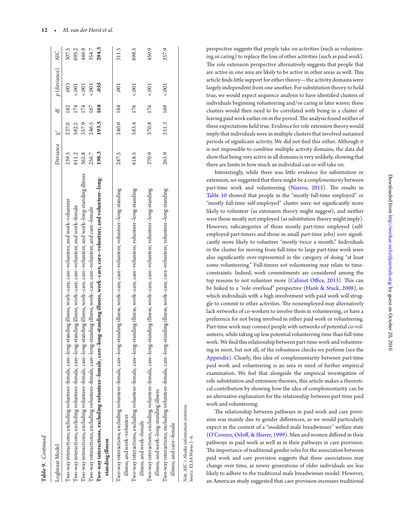<span id="page-12-1"></span><span id="page-12-0"></span>

| Table 9. Continued                                                                                                                                                          |          |          |     |                |            |
|-----------------------------------------------------------------------------------------------------------------------------------------------------------------------------|----------|----------|-----|----------------|------------|
| Loglinear Model                                                                                                                                                             | Deviance | $\chi^2$ | ďf  | $p$ (deviance) | <b>AIC</b> |
| Two-way interactions, excluding volunteer-female, care-long-standing illness, work-care, care-volunteer, and work-volunteer                                                 | 239.5    | 237.0    | 182 | .003           | 307.5      |
| Two-way interactions, excluding volunteer-female, care-long-standing illness, work--care, care-volunteer, and work-female                                                   | 611.2    | 582.2    | 174 | 5.001          | 695.2      |
| Two-way interactions, excluding volunteer-female, care-long-standing illness, work-care, care-volunteer, and work-long-standing illness                                     | 362.8    | 357.9    | 174 | 5001           | 446.8      |
| Two-way interactions, excluding volunteer-female, care-long-standing illness, work-care, care-volunteer, and care-female                                                    | 256.7    | 246.5    | 167 | 5.001          | 354.7      |
| Two-way interactions, excluding volunteer-female, care-long-standing illness, work-care, care-volunteer, and volunteer-long-<br>standing illness                            | 198.3    | 193.5    | 168 | .055           | 294.3      |
| Two-way interactions, excluding volunteer-female, care–long-standing illness, work–care, care–volunteer, volunteer–long-standing<br>illness, and work-volunteer             | 247.5    | 240.6    | 184 | .001           | 311.5      |
| Two-way interactions, excluding volunteer-female, care–long-standing illness, work–care, care–volunteer, volunteer–long-standing<br>illness, and work-female                | 618.5    | 583.4    | 176 | 5001           | 698.5      |
| Two-way interactions, excluding volunteer-female, care–long-standing illness, work–care, care–volunteer, volunteer–long-standing<br>illness, and work-long-standing illness | 370.9    | 370.8    | 176 | 5001           | 450.9      |
| Two-way interactions, excluding volunteer-female, care–long-standing illness, work–care, care–volunteer, volunteer–long-standing<br>illness, and care-female                | 263.9    | 251.3    | 169 | 5.001          | 357.9      |
| Note. AIC = Akaike information criterion.<br>Source. ELSA Waves 1-6.                                                                                                        |          |          |     |                |            |

perspective suggests that people take on activities (such as volunteering or caring) to replace the loss of other activities (such as paid work). he role extension perspective alternatively suggests that people that are active in one area are likely to be active in other areas as well. This article finds little support for either theory-the activity domains were largely independent from one another. For substitution theory to hold true, we would expect sequence analysis to have identified clusters of individuals beginning volunteering and/or caring in later waves; these clusters would then need to be correlated with being in a cluster of leaving paid work earlier on in the period. The analysis found neither of these expectations held true. Evidence for role extension theory would imply that individuals were in multiple clusters that involved sustained periods of significant activity. We did not find this either. Although it is not impossible to combine multiple activity domains, the data did show that being very active in all domains is very unlikely, showing that there are limits in how much an individual can or will take on.

Interestingly, while there was litle evidence for substitution or extension, we suggested that there might be a *complementarity* between part-time work and volunteering ([Nazroo, 2015\)](#page-16-15). The results in [Table 10](#page-12-1) showed that people in the "mostly full-time employed" or "mostly full-time self-employed" cluster were *not* significantly more likely to volunteer (as extension theory might suggest), and neither were those mostly not employed (as substitution theory might imply). However, subcategories of those mostly part-time employed (selfemployed part-timers and those in small part-time jobs) *were* signiicantly more likely to volunteer "mostly twice a month." Individuals in the cluster for moving from full-time to large part-time work were also significantly over-represented in the category of doing "at least some volunteering." Full-timers *not* volunteering may relate to timeconstraints. Indeed, work commitments are considered among the top reasons to not volunteer more (Cabinet Office, 2013). This can be linked to a "role overload" perspective ([Hank & Stuck, 2008\)](#page-15-3), in which individuals with a high involvement with paid work will struggle to commit to other activities. The nonemployed may alternatively lack networks of co-workers to involve them in volunteering, or have a preference for not being involved in either paid work or volunteering. Part-time work may connect people with networks of potential co-volunteers, while taking up less potential volunteering time than full-time work. We find this relationship between part-time work and volunteering in most, but not all, of the robustness checks we perform (see the [Appendix](#page-17-2)). Clearly, this idea of complementarity between part-time paid work and volunteering is an area in need of further empirical examination. We feel that alongside the empirical investigation of role substitution and extension theories, this article makes a theoretical contribution by showing how the idea of complementarity can be an alternative explanation for the relationship between part-time paid work and volunteering.

The relationship between pathways in paid work and care provision was mainly due to gender diferences, as we would particularly expect in the context of a "modiied male breadwinner" welfare state [\(O'Connor, Orlof, & Shaver, 1999](#page-16-30)). Men and women difered in their pathways in paid work as well as in their pathways in care provision. The importance of traditional gender roles for the association between paid work and care provision suggests that these associations may change over time, as newer generations of older individuals are less likely to adhere to the traditional male breadwinner model. However, an American study suggested that care provision increases traditional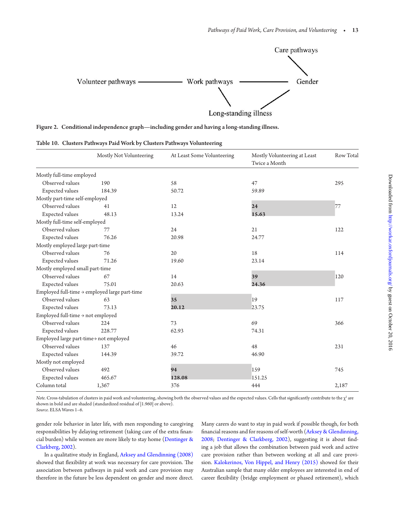<span id="page-13-0"></span>

|  |  |  |  | Figure 2.   Conditional independence graph—including gender and having a long-standing illness. |  |  |  |
|--|--|--|--|-------------------------------------------------------------------------------------------------|--|--|--|
|--|--|--|--|-------------------------------------------------------------------------------------------------|--|--|--|

|  |  |  |  |  |  |  | Table 10. Clusters Pathways Paid Work by Clusters Pathways Volunteering |
|--|--|--|--|--|--|--|-------------------------------------------------------------------------|
|--|--|--|--|--|--|--|-------------------------------------------------------------------------|

<span id="page-13-1"></span>

|                                               | Mostly Not Volunteering                                   | At Least Some Volunteering | Mostly Volunteering at Least<br>Twice a Month | Row Total |
|-----------------------------------------------|-----------------------------------------------------------|----------------------------|-----------------------------------------------|-----------|
| Mostly full-time employed                     |                                                           |                            |                                               |           |
| Observed values                               | 190                                                       | 58                         | 47                                            | 295       |
| Expected values                               | 184.39                                                    | 50.72                      | 59.89                                         |           |
| Mostly part-time self-employed                |                                                           |                            |                                               |           |
| Observed values                               | 41                                                        | 12                         | 24                                            | 77        |
| Expected values                               | 48.13                                                     | 13.24                      | 15.63                                         |           |
| Mostly full-time self-employed                |                                                           |                            |                                               |           |
| Observed values                               | 77                                                        | 24                         | 21                                            | 122       |
| Expected values                               | 76.26                                                     | 20.98                      | 24.77                                         |           |
| Mostly employed large part-time               |                                                           |                            |                                               |           |
| Observed values                               | 76                                                        | 20                         | 18                                            | 114       |
| Expected values                               | 71.26                                                     | 19.60                      | 23.14                                         |           |
| Mostly employed small part-time               |                                                           |                            |                                               |           |
| Observed values                               | 67                                                        | 14                         | 39                                            | 120       |
| Expected values                               | 75.01                                                     | 20.63                      | 24.36                                         |           |
|                                               | Employed full-time $\rightarrow$ employed large part-time |                            |                                               |           |
| Observed values                               | 63                                                        | 35                         | 19                                            | 117       |
| Expected values                               | 73.13                                                     | 20.12                      | 23.75                                         |           |
| Employed full-time $\rightarrow$ not employed |                                                           |                            |                                               |           |
| Observed values                               | 224                                                       | 73                         | 69                                            | 366       |
| Expected values                               | 228.77                                                    | 62.93                      | 74.31                                         |           |
| Employed large part-time> not employed        |                                                           |                            |                                               |           |
| Observed values                               | 137                                                       | 46                         | 48                                            | 231       |
| Expected values                               | 144.39                                                    | 39.72                      | 46.90                                         |           |
| Mostly not employed                           |                                                           |                            |                                               |           |
| Observed values                               | 492                                                       | 94                         | 159                                           | 745       |
| Expected values                               | 465.67                                                    | 128.08                     | 151.25                                        |           |
| Column total                                  | 1,367                                                     | 376                        | 444                                           | 2,187     |

*Note.* Cross-tabulation of clusters in paid work and volunteering, showing both the observed values and the expected values. Cells that significantly contribute to the  $\chi^2$  are shown in bold and are shaded (standardized residual of |1.960| or above).

*Source.* ELSA Waves 1–6.

gender role behavior in later life, with men responding to caregiving responsibilities by delaying retirement (taking care of the extra financial burden) while women are more likely to stay home [\(Dentinger &](#page-15-27)  [Clarkberg, 2002](#page-15-27)).

In a qualitative study in England, [Arksey and Glendinning \(2008\)](#page-14-9) showed that flexibility at work was necessary for care provision. The association between pathways in paid work and care provision may therefore in the future be less dependent on gender and more direct. Many carers do want to stay in paid work if possible though, for both financial reasons and for reasons of self-worth (Arksey & Glendinning, [2008;](#page-14-9) [Dentinger & Clarkberg, 2002](#page-15-27)), suggesting it is about inding a job that allows the combination between paid work and active care provision rather than between working at all and care provision. [Kalokerinos, Von Hippel, and Henry \(2015\)](#page-15-28) showed for their Australian sample that many older employees are interested in end of career lexibility (bridge employment or phased retirement), which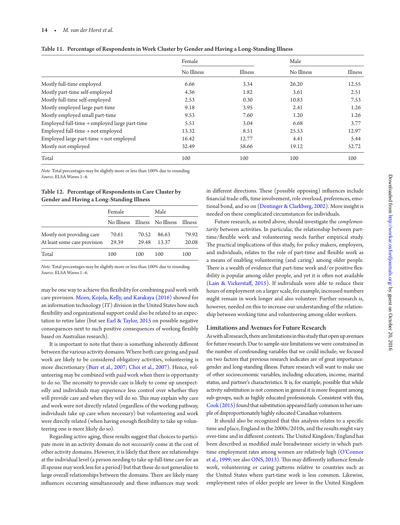#### 14 • *M. van der Horst et al.*

|                                                           | Female     |         | Male       |         |  |
|-----------------------------------------------------------|------------|---------|------------|---------|--|
|                                                           | No Illness | Illness | No Illness | Illness |  |
| Mostly full-time employed                                 | 6.66       | 3.34    | 26.20      | 12.55   |  |
| Mostly part-time self-employed                            | 4.36       | 1.82    | 3.61       | 2.51    |  |
| Mostly full-time self-employed                            | 2.53       | 0.30    | 10.83      | 7.53    |  |
| Mostly employed large part-time                           | 9.18       | 3.95    | 2.41       | 1.26    |  |
| Mostly employed small part-time                           | 9.53       | 7.60    | 1.20       | 1.26    |  |
| Employed full-time $\rightarrow$ employed large part-time | 5.51       | 3.04    | 6.68       | 3.77    |  |
| Employed full-time $\rightarrow$ not employed             | 13.32      | 8.51    | 25.53      | 12.97   |  |
| Employed large part-time $\rightarrow$ not employed       | 16.42      | 12.77   | 4.41       | 5.44    |  |
| Mostly not employed                                       | 32.49      | 58.66   | 19.12      | 52.72   |  |
| Total                                                     | 100        | 100     | 100        | 100     |  |

<span id="page-14-8"></span>

|  |  |  | Table 11. Percentage of Respondents in Work Cluster by Gender and Having a Long-Standing Illness |
|--|--|--|--------------------------------------------------------------------------------------------------|
|--|--|--|--------------------------------------------------------------------------------------------------|

*Note.* Total percentages may be slightly more or less than 100% due to rounding. *Source.* ELSA Waves 1–6.

#### Table 12. Percentage of Respondents in Care Cluster by Gender and Having a Long-Standing Illness

|                              | Female |       | Male                          |         |  |  |
|------------------------------|--------|-------|-------------------------------|---------|--|--|
|                              |        |       | No Illness Illness No Illness | Illness |  |  |
| Mostly not providing care    | 70.61  | 70.52 | 86.63                         | 79.92   |  |  |
| At least some care provision | 29.39  | 29.48 | 13.37                         | 20.08   |  |  |
| Total                        | 100    | 100   | 100                           | 100     |  |  |

*Note.* Total percentages may be slightly more or less than 100% due to rounding. *Source.* ELSA Waves 1–6.

may be one way to achieve this lexibility for combining paid work with care provision. [Moen, Kojola, Kelly, and Karakaya \(2016\)](#page-16-31) showed for an information technology (IT) division in the United States how such flexibility and organizational support could also be related to an expectation to retire later (but see [Earl & Taylor, 2015](#page-15-29) on possible negative consequences next to such positive consequences of working lexibly based on Australian research).

It is important to note that there is something inherently diferent between the various activity domains. Where both care giving and paid work are likely to be considered obligatory activities, volunteering is more discretionary ([Burr et al., 2007](#page-14-1); [Choi et al., 2007\)](#page-15-17). Hence, volunteering may be combined with paid work when there is opportunity to do so. The necessity to provide care is likely to come up unexpectedly and individuals may experience less control over whether they will provide care and when they will do so. This may explain why care and work were not directly related (regardless of the working pathway, individuals take up care when necessary) but volunteering and work were directly related (when having enough flexibility to take up volunteering one is more likely do so).

Regarding active aging, these results suggest that choices to participate more in an activity domain do not *necessarily* come at the cost of other activity domains. However, it is likely that there are relationships at the individual level (a person needing to take up full-time care for an ill spouse may work less for a period) but that these do not generalize to large overall relationships between the domains. There are likely many influences occurring simultaneously and these influences may work in different directions. These (possible opposing) influences include financial trade-offs, time involvement, role overload, preferences, emotional bond, and so on ([Dentinger & Clarkberg, 2002\)](#page-15-27). More insight is needed on these complicated circumstances for individuals.

<span id="page-14-6"></span>Future research, as noted above, should investigate the *complementarity* between activities. In particular, the relationship between parttime/lexible work and volunteering needs further empirical study. he practical implications of this study, for policy makers, employers, and individuals, relates to the role of part-time and flexible work as a means of enabling volunteering (and caring) among older people. There is a wealth of evidence that part-time work and/or positive flexibility is popular among older people, and yet it is oten not available [\(Lain & Vickerstaf, 2015\)](#page-15-30). If individuals were able to reduce their hours of employment on a larger scale, for example, increased numbers might remain in work longer and also volunteer. Further research is, however, needed on this to increase our understanding of the relationship between working time and volunteering among older workers.

#### <span id="page-14-9"></span><span id="page-14-5"></span>Limitations and Avenues for Future Research

<span id="page-14-3"></span><span id="page-14-0"></span>As with all research, there are limitations in this study that open up avenues for future research. Due to sample-size limitations we were constrained in the number of confounding variables that we could include; we focused on two factors that previous research indicates are of great importance: gender and long-standing illness. Future research will want to make use of other socioeconomic variables, including education, income, marital status, and partner's characteristics. It is, for example, possible that while activity substitution is not common in general it is more frequent among sub-groups, such as highly educated professionals. Consistent with this, [Cook \(2015\)](#page-15-7) found that substitution appeared fairly common in her sample of disproportionately highly educated Canadian volunteers.

<span id="page-14-7"></span><span id="page-14-4"></span><span id="page-14-2"></span><span id="page-14-1"></span>It should also be recognized that this analysis relates to a specific time and place, England in the 2000s/2010s, and the results might vary over-time and in different contexts. The United Kingdom/England has been described as modified male breadwinner society in which parttime employment rates among women are relatively high [\(O'Connor](#page-16-30) [et al., 1999](#page-16-30); see also [ONS, 2013](#page-16-32)). This may differently influence female work, volunteering or caring paterns relative to countries such as the United States where part-time work is less common. Likewise, employment rates of older people are lower in the United Kingdom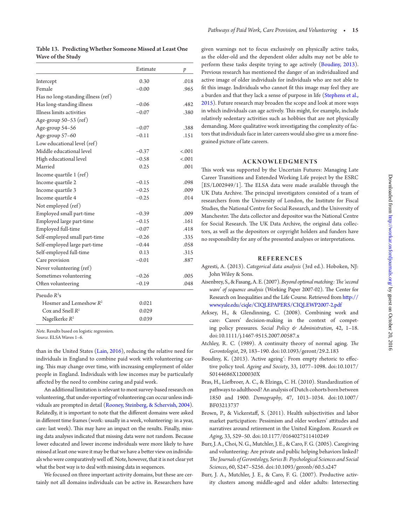Table 13. Predicting Whether Someone Missed at Least One Wave of the Study

<span id="page-15-27"></span><span id="page-15-26"></span><span id="page-15-17"></span><span id="page-15-13"></span><span id="page-15-12"></span><span id="page-15-7"></span>

|                                    | Estimate | p      |
|------------------------------------|----------|--------|
| Intercept                          | 0.30     | .018   |
| Female                             | $-0.00$  | .965   |
| Has no long-standing illness (ref) |          |        |
| Has long-standing illness          | $-0.06$  | .482   |
| Illness limits activities          | $-0.07$  | .380   |
| Age-group $50-53$ (ref)            |          |        |
| Age-group 54-56                    | $-0.07$  | .388   |
| Age-group 57-60                    | $-0.11$  | .151   |
| Low educational level (ref)        |          |        |
| Middle educational level           | $-0.37$  | < .001 |
| High educational level             | $-0.58$  | < .001 |
| Married                            | 0.25     | .001   |
| Income quartile 1 (ref)            |          |        |
| Income quartile 2                  | $-0.15$  | .098   |
| Income quartile 3                  | $-0.25$  | .009   |
| Income quartile 4                  | $-0.25$  | .014   |
| Not employed (ref)                 |          |        |
| Employed small part-time           | $-0.39$  | .009   |
| Employed large part-time           | $-0.15$  | .161   |
| Employed full-time                 | $-0.07$  | .418   |
| Self-employed small part-time      | $-0.26$  | .335   |
| Self-employed large part-time      | $-0.44$  | .058   |
| Self-employed full-time            | 0.13     | .315   |
| Care provision                     | $-0.01$  | .887   |
| Never volunteering (ref)           |          |        |
| Sometimes volunteering             | $-0.26$  | .005   |
| Often volunteering                 | $-0.19$  | .048   |
| Pseudo $R^2$ s                     |          |        |
| Hosmer and Lemeshow $R^2$          | 0.021    |        |
| Cox and Snell $R^2$                | 0.029    |        |
| Nagelkerke $R^2$                   | 0.039    |        |

<span id="page-15-29"></span><span id="page-15-15"></span><span id="page-15-14"></span><span id="page-15-11"></span>*Note.* Results based on logistic regression.

*Source.* ELSA Waves 1–6.

<span id="page-15-8"></span>than in the United States [\(Lain, 2016\)](#page-15-31), reducing the relative need for individuals in England to combine paid work with volunteering caring. This may change over time, with increasing employment of older people in England. Individuals with low incomes may be particularly afected by the need to combine caring and paid work.

<span id="page-15-19"></span><span id="page-15-18"></span><span id="page-15-5"></span>An additional limitation is relevant to most survey-based research on volunteering, that under-reporting of volunteering can occur unless individuals are prompted in detail [\(Rooney, Steinberg, & Schervish, 2004](#page-16-33)). Relatedly, it is important to note that the diferent domains were asked in diferent time frames (work: usually in a week, volunteering: in a year, care: last week). This may have an impact on the results. Finally, missing data analyses indicated that missing data were not random. Because lower educated and lower income individuals were more likely to have missed at least one wave it may be that we have a beter view on individuals who were comparatively well off. Note, however, that it is not clear yet what the best way is to deal with missing data in sequences.

<span id="page-15-23"></span><span id="page-15-0"></span>We focused on three important activity domains, but these are certainly not all domains individuals can be active in. Researchers have <span id="page-15-25"></span><span id="page-15-21"></span><span id="page-15-20"></span>given warnings not to focus exclusively on physically active tasks, as the older-old and the dependent older adults may not be able to perform these tasks despite trying to age actively [\(Boudiny, 2013](#page-14-0)). Previous research has mentioned the danger of an individualized and active image of older individuals for individuals who are not able to fit this image. Individuals who cannot fit this image may feel they are a burden and that they lack a sense of purpose in life [\(Stephens et al.,](#page-16-1)  [2015\)](#page-16-1). Future research may broaden the scope and look at more ways in which individuals can age actively. This might, for example, include relatively sedentary activities such as hobbies that are not physically demanding. More qualitative work investigating the complexity of factors that individuals face in later careers would also give us a more finegrained picture of late careers.

#### **ACKNOWLEDGMENTS**

<span id="page-15-6"></span><span id="page-15-3"></span><span id="page-15-1"></span>his work was supported by the Uncertain Futures: Managing Late Career Transitions and Extended Working Life project by the ESRC [ES/L002949/1]. The ELSA data were made available through the UK Data Archive. The principal investigators consisted of a team of researchers from the University of London, the Institute for Fiscal Studies, the National Centre for Social Research, and the University of Manchester. The data collector and depositor was the National Centre for Social Research. The UK Data Archive, the original data collectors, as well as the depositors or copyright holders and funders have no responsibility for any of the presented analyses or interpretations.

#### **REFERENCES**

- <span id="page-15-22"></span><span id="page-15-4"></span>Agresti, A. (2013). *Categorical data analysis* (3rd ed.). Hoboken, NJ: John Wiley & Sons.
- <span id="page-15-9"></span>Aisenbrey, S., & Fasang, A. E. (2007). Beyond optimal matching: The 'second *wave' of sequence analysis* (Working Paper 2007-02). The Center for Research on Inequalities and the Life Course. Retrieved from [htp://](http://www.yale.edu/ciqle/CIQLEPAPERS/CIQLEWP2007-2.pdf) [www.yale.edu/ciqle/CIQLEPAPERS/CIQLEWP2007-2.pdf](http://www.yale.edu/ciqle/CIQLEPAPERS/CIQLEWP2007-2.pdf)
- <span id="page-15-28"></span>Arksey, H., & Glendinning, C. (2008). Combining work and care: Carers' decision-making in the context of competing policy pressures. *Social Policy & Administration*, 42, 1–18. doi:10.1111/j.1467-9515.2007.00587.x
- <span id="page-15-10"></span>Atchley, R. C. (1989). A continuity theory of normal aging. *he Gerontologist*, 29, 183–190. doi:10.1093/geront/29.2.183
- <span id="page-15-16"></span>Boudiny, K. (2013). 'Active ageing': From empty rhetoric to efective policy tool. *Ageing and Society*, 33, 1077–1098. doi:10.1017/ S0144686X1200030X
- <span id="page-15-31"></span><span id="page-15-30"></span>Bras, H., Liebroer, A. C., & Elzinga, C. H. (2010). Standardization of pathways to adulthood? An analysis of Dutch cohorts born between 1850 and 1900. *Demography*, 47, 1013–1034. doi:10.1007/ BF03213737
- Brown, P., & Vickerstaf, S. (2011). Health subjectivities and labor market participation: Pessimism and older workers' atitudes and narratives around retirement in the United Kingdom. *Research on Aging*, 33, 529–50. doi:10.1177/0164027511410249
- <span id="page-15-24"></span>Burr, J. A., Choi, N. G., Mutchler, J. E., & Caro, F. G. (2005). Caregiving and volunteering: Are private and public helping behaviors linked? *he Journals of Gerontology, Series B: Psychological Sciences and Social Sciences*, 60, S247–S256. doi:10.1093/geronb/60.5.s247
- <span id="page-15-2"></span>Burr, J. A., Mutchler, J. E., & Caro, F. G. (2007). Productive activity clusters among middle-aged and older adults: Intersecting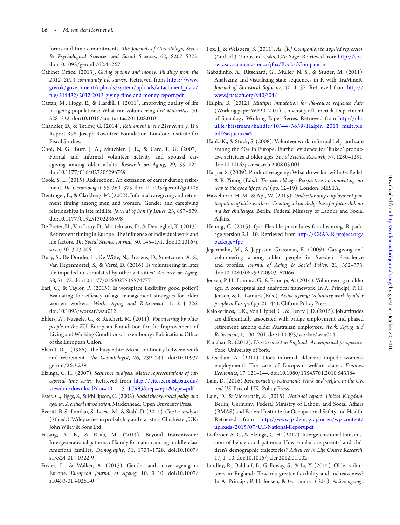forms and time commitments. *he Journals of Gerontology, Series B: Psychological Sciences and Social Sciences*, 62, S267–S275. doi:10.1093/geronb/62.4.s267

- <span id="page-16-17"></span>Cabinet Office. (2013). Giving of time and money: Findings from the *2012–2013 community life survey*. Retrieved from [htps://www.](https://www.gov.uk/government/uploads/system/uploads/attachment_data/file/314432/2012-2013-giving-time-and-money-report.pdf) [gov.uk/government/uploads/system/uploads/atachment\\_data/](https://www.gov.uk/government/uploads/system/uploads/attachment_data/file/314432/2012-2013-giving-time-and-money-report.pdf) f[ile/314432/2012-2013-giving-time-and-money-report.pdf](https://www.gov.uk/government/uploads/system/uploads/attachment_data/file/314432/2012-2013-giving-time-and-money-report.pdf)
- <span id="page-16-8"></span>Cattan, M., Hogg, E., & Hardill, I. (2011). Improving quality of life in ageing populations: What can volunteering do? *Maturitas*, 70, 328–332. doi:10.1016/j.maturitas.2011.08.010
- <span id="page-16-27"></span>Chandler, D., & Tetlow, G. (2014). *Retirement in the 21st century*. IFS Report R98. Joseph Rowntree Foundation. London: Institute for Fiscal Studies.
- <span id="page-16-24"></span><span id="page-16-9"></span>Choi, N. G., Burr, J. A., Mutchler, J. E., & Caro, F. G. (2007). Formal and informal volunteer activity and spousal caregiving among older adults. *Research on Aging*, 29, 99–124. doi:10.1177/0164027506296759
- Cook, S. L. (2015) Redirection: An extension of career during retirement, *he Gerontologist*, 55, 360–373. doi:10.1093/geront/gnt105
- <span id="page-16-5"></span>Dentinger, E., & Clarkberg, M. (2002). Informal caregiving and retirement timing among men and women: Gender and caregiving relationships in late midlife. *Journal of Family Issues*, 23, 857–879. doi:10.1177/019251302236598
- <span id="page-16-20"></span><span id="page-16-14"></span>De Preter, H., Van Looy, D., Mortelmans, D., & Denaeghel, K. (2013). Retirement timing in Europe: The influence of individual work and life factors. *he Social Science Journal*, 50, 145–151. doi:10.1016/j. soscij.2013.03.006
- <span id="page-16-6"></span>Dury, S., De Donder, L., De Wite, N., Brosens, D., Smetcoren, A.-S., Van Regenmortel, S., & Verté, D. (2016). Is volunteering in later life impeded or stimulated by other activities? *Research on Aging*, 38, 51–75. doi:10.1177/0164027515574777
- <span id="page-16-18"></span>Earl, C., & Taylor, P. (2015). Is workplace flexibility good policy? Evaluating the efficacy of age management strategies for older women workers. *Work, Aging and Retirement*, 1, 214–226. doi:10.1093/workar/wau012
- <span id="page-16-31"></span>Ehlers, A., Naegele, G., & Reichert, M. (2011). *Volunteering by older people in the EU*. European Foundation for the Improvement of Living and Working Conditions. Luxembourg: Publications Office of the European Union.
- <span id="page-16-19"></span>Ekerdt, D. J. (1986). The busy ethic: Moral continuity between work and retirement. *he Gerontologist*, 26, 239–244. doi:10.1093/ geront/26.3.239
- <span id="page-16-21"></span>Elzinga, C. H. (2007). *Sequence analysis: Metric representations of categorical time series.* Retrieved from [htp://citeseerx.ist.psu.edu/](http://citeseerx.ist.psu.edu/viewdoc/download?doi=10.1.1.514.7995%26rep=rep1%26type=pdf) [viewdoc/download?doi=10.1.1.514.7995&rep=rep1&type=pdf](http://citeseerx.ist.psu.edu/viewdoc/download?doi=10.1.1.514.7995%26rep=rep1%26type=pdf)
- Estes, C., Biggs, S., & Phillipson, C. (2003). *Social theory, social policy and ageing: A critical introduction*. Maidenhead: Open University Press.
- <span id="page-16-0"></span>Everit, B. S., Landau, S., Leese, M., & Stahl, D. (2011). *Cluster analysis* (5th ed.). Wiley series in probability and statistics. Chichester, UK: John Wiley & Sons Ltd.
- <span id="page-16-12"></span>Fasang, A. E., & Raab, M. (2014). Beyond transmission: Intergenerational paterns of family formation among middle-class American families. *Demography*, 51, 1703–1728. doi:10.1007/ s13524-014-0322-9
- <span id="page-16-15"></span>Foster, L., & Walker, A. (2013). Gender and active ageing in Europe. *European Journal of Ageing*, 10, 3–10. doi:10.1007/ s10433-013-0261-0
- <span id="page-16-26"></span>Fox, J., & Weisberg, S. (2011). *An {R} Companion to applied regression* (2nd ed.). Thousand Oaks, CA: Sage. Retrieved from http://soc[serv.socsci.mcmaster.ca/jfox/Books/Companion](http://socserv.socsci.mcmaster.ca/jfox/Books/Companion)
- <span id="page-16-30"></span>Gabadinho, A., Ritschard, G., Müller, N. S., & Studer, M. (2011). Analyzing and visualizing state sequences in R with TraMineR. *Journal of Statistical Sotware*, 40, 1–37. Retrieved from [htp://](http://www.jstatsoft.org/v40/i04/) [www.jstatsot.org/v40/i04/](http://www.jstatsoft.org/v40/i04/)
- <span id="page-16-32"></span><span id="page-16-4"></span>Halpin, B. (2012). *Multiple imputation for life-course sequence data* (Working paper WP2012-01). University of Limerick. Department of Sociology Working Paper Series. Retrieved from [htp://ulir.](http://ulir.ul.ie/bitstream/handle/10344/3639/Halpin_2013_multiple.pdf?sequence=2) [ul.ie/bitstream/handle/10344/3639/Halpin\\_2013\\_multiple.](http://ulir.ul.ie/bitstream/handle/10344/3639/Halpin_2013_multiple.pdf?sequence=2) [pdf?sequence=2](http://ulir.ul.ie/bitstream/handle/10344/3639/Halpin_2013_multiple.pdf?sequence=2)
- <span id="page-16-23"></span><span id="page-16-22"></span>Hank, K., & Stuck, S. (2008). Volunteer work, informal help, and care among the 50+ in Europe: Further evidence for 'linked' productive activities at older ages. *Social Science Research*, 37, 1280–1291. doi:10.1016/j.ssresearch.2008.03.001
- <span id="page-16-25"></span>Harper, S. (2009). Productive ageing: What do we know? In G. Bedell & R. Young (Eds.), *he new old age: Perspectives on innovating our way to the good life for all* (pp. 12–19). London: NESTA.
- <span id="page-16-2"></span>Hasselhorn, H. M., & Apt, W. (2015). *Understanding employment participation of older workers: Creating a knowledge base for future labour market challenges*. Berlin: Federal Ministry of Labour and Social Afairs.
- <span id="page-16-13"></span>Hennig, C. (2015). fpc: Flexible procedures for clustering. R package version 2.1–10. Retrieved from [htp://CAN.R-project.org/](http://CRAN.R-project.org/package=fpc) [package=fpc](http://CRAN.R-project.org/package=fpc)
- <span id="page-16-33"></span>Jegermalm, M., & Jeppsson Grassman, E. (2009). Caregiving and volunteering among older people in Sweden—Prevalence and profiles. *Journal of Aging & Social Policy*, 21, 352-373. doi:10.1080/08959420903167066
- <span id="page-16-1"></span>Jensen, P. H., Lamura, G., & Principi, A. (2014). Volunteering in older age: A conceptual and analytical framework. In A. Principi, P. H. Jensen, & G. Lamura (Eds.), *Active ageing: Voluntary work by older people in Europe* (pp. 21–44). Cliton: Policy Press.
- <span id="page-16-34"></span>Kalokerinos, E. K., Von Hippel, C., & Henry, J. D. (2015). Job atitudes are diferentially associated with bridge employment and phased retirement among older Australian employees. *Work, Aging and Retirement*, 1, 190–201. doi:10.1093/workar/wau014
- <span id="page-16-3"></span>Kanabar, R. (2012). *Unretirement in England: An empirical perspective*. York: University of York.
- <span id="page-16-16"></span>Kotsadam, A. (2011). Does informal eldercare impede women's employment? he case of European welfare states. *Feminist Economics*, 17, 121–144. doi:10.1080/13545701.2010.543384
- <span id="page-16-10"></span>Lain, D. (2016) *Reconstructing retirement: Work and welfare in the UK and US*. Bristol, UK: Policy Press.
- <span id="page-16-11"></span>Lain, D., & Vickerstaf, S. (2015). *National report: United Kingdom*. Berlin, Germany: Federal Ministry of Labour and Social Afairs (BMAS) and Federal Institute for Occupational Safety and Health. Retrieved from [htp://www.jp-demographic.eu/wp-content/](http://www.jp-demographic.eu/wp-content/uploads/2015/07/UK-National-Report.pdf) [uploads/2015/07/UK-National-Report.pdf](http://www.jp-demographic.eu/wp-content/uploads/2015/07/UK-National-Report.pdf)
- <span id="page-16-29"></span><span id="page-16-7"></span>Liebroer, A. C., & Elzinga, C. H. (2012). Intergenerational transmission of behavioural paterns: How similar are parents' and children's demographic trajectories? *Advances in Life Course Research*, 17, 1–10. doi:10.1016/j.alcr.2012.01.002
- <span id="page-16-28"></span>Lindley, R., Baldauf, B., Galloway, S., & Li, Y. (2014). Older volunteers in England: Towards greater lexibility and inclusiveness? In A. Principi, P. H. Jensen, & G. Lamura (Eds.), *Active ageing:*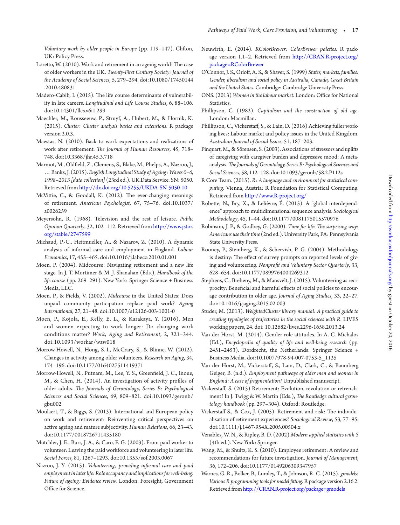<span id="page-17-1"></span>*Voluntary work by older people in Europe* (pp. 119–147). Cliton, UK: Policy Press.

- <span id="page-17-3"></span>Loretto, W. (2010). Work and retirement in an ageing world: The case of older workers in the UK. *Twenty-First Century Society: Journal of the Academy of Social Sciences*, 5, 279–294. doi:10.1080/17450144 .2010.480831
- <span id="page-17-0"></span>Madero-Cabib, I. (2015). The life course determinants of vulnerability in late careers. *Longitudinal and Life Course Studies*, 6, 88–106. doi:10.14301/llcs.v6i1.299
- Maechler, M., Rousseeuw, P., Struyf, A., Hubert, M., & Hornik, K. (2015). *Cluster: Cluster analysis basics and extensions*. R package version 2.0.3.
- Maestas, N. (2010). Back to work expectations and realizations of work ater retirement. *he Journal of Human Resources*, 45, 718– 748. doi:10.3368/jhr.45.3.718
- Marmot, M., Oldield, Z., Clemens, S., Blake, M., Phelps, A., Nazroo, J., … Banks, J. (2015). *English Longitudinal Study of Ageing: Waves 0–6, 1998–2013 [data collection]* (23rd ed.). UK Data Service. SN: 5050. Retrieved from [htp://dx.doi.org/10.5255/UKDA-SN-5050-10](http://dx.doi.org/10.5255/UKDA-SN-5050-10)
- McVittie, C., & Goodall, K. (2012). The ever-changing meanings of retirement. *American Psychologist*, 67, 75–76. doi:10.1037/ a0026259
- Meyersohn, R. (1968). Television and the rest of leisure. *Public Opinion Quarterly*, 32, 102–112. Retrieved from [htp://www.jstor.](http://www.jstor.org/stable/2747599) [org/stable/2747599](http://www.jstor.org/stable/2747599)
- Michaud, P.-C., Heitmueller, A., & Nazarov, Z. (2010). A dynamic analysis of informal care and employment in England. *Labour Economics*, 17, 455–465. doi:10.1016/j.labeco.2010.01.001
- Moen, P. (2004). Midcourse: Navigating retirement and a new life stage. In J. T. Mortimer & M. J. Shanahan (Eds.), *Handbook of the life course* (pp. 269–291). New York: Springer Science + Business Media, LLC.
- Moen, P., & Fields, V. (2002). *Midcourse* in the United States: Does unpaid community participation replace paid work? *Ageing International*, 27, 21–48. doi:10.1007/s12126-003-1001-0
- Moen, P., Kojola, E., Kelly, E. L., & Karakaya, Y. (2016). Men and women expecting to work longer: Do changing work conditions matter? *Work, Aging and Retirement*, 2, 321–344. doi:10.1093/workar/waw018
- Morrow-Howell, N., Hong, S.-I., McCrary, S., & Blinne, W. (2012). Changes in activity among older volunteers. *Research on Aging*, 34, 174–196. doi:10.1177/0164027511419371
- Morrow-Howell, N., Putnam, M., Lee, Y. S., Greenield, J. C., Inoue, M., & Chen, H. (2014). An investigation of activity profiles of older adults. *he Journals of Gerontology, Series B: Psychological Sciences and Social Sciences*, 69, 809–821. doi:10.1093/geronb/ gbu002
- Moulaert, T., & Biggs, S. (2013). International and European policy on work and retirement: Reinventing critical perspectives on active ageing and mature subjectivity. *Human Relations*, 66, 23–43. doi:10.1177/0018726711435180
- Mutchler, J. E., Burr, J. A., & Caro, F. G. (2003). From paid worker to volunteer: Leaving the paid workforce and volunteering in later life. *Social Forces*, 81, 1267–1293. doi:10.1353/sof.2003.0067
- Nazroo, J. Y. (2015). *Volunteering, providing informal care and paid employment in later life: Role occupancy and implications for well-being. Future of ageing: Evidence review*. London: Foresight, Government Office for Science.
- Neuwirth, E. (2014). *RColorBrewer: ColorBrewer paletes.* R package version 1.1–2. Retrieved from [htp://CAN.R-project.org/](http://CRAN.R-project.org/package=RColorBrewer) [package=RColorBrewer](http://CRAN.R-project.org/package=RColorBrewer)
- O'Connor, J. S., Orlof, A. S., & Shaver, S. (1999) *States, markets, families: Gender, liberalism and social policy in Australia, Canada, Great Britain and the United States*. Cambridge: Cambridge University Press.
- ONS. (2013) *Women in the labour market*. London: Office for National Statistics.
- Phillipson, C. (1982). *Capitalism and the construction of old age*. London: Macmillan.
- Phillipson, C., Vickerstaf, S., & Lain, D. (2016) Achieving fuller working lives: Labour market and policy issues in the United Kingdom. *Australian Journal of Social Issues*, 51, 187–203.
- <span id="page-17-2"></span>Pinquart, M., & Sörensen, S. (2003). Associations of stressors and uplits of caregiving with caregiver burden and depressive mood: A metaanalysis. *he Journals of Gerontology, Series B: Psychological Sciences and Social Sciences*, 58, 112–128. doi:10.1093/geronb/58.2.P112s
- R Core Team. (2015). *R: A language and environment for statistical computing*. Vienna, Austria: R Foundation for Statistical Computing. Retrieved from [htp://www.R-project.org/](http://www.R-project.org/)
- Robete, N., Bry, X., & Lelièvre, É. (2015). A "global interdependence" approach to multidimensional sequence analysis. *Sociological Methodology*, 45, 1–44. doi:10.1177/0081175015570976
- Robinson, J. P., & Godbey, G. (2000). *Time for life: he surprising ways Americans use their time* (2nd ed.). University Park, PA: Pennsylvania State University Press.
- Rooney, P., Steinberg, K., & Schervish, P. G. (2004). Methodology is destiny: The effect of survey prompts on reported levels of giving and volunteering. *Nonprofit and Voluntary Sector Quarterly*, 33, 628–654. doi:10.1177/0899764004269312
- Stephens, C., Breheny, M., & Mansvelt, J. (2015). Volunteering as reciprocity: Beneficial and harmful effects of social policies to encourage contribution in older age. *Journal of Aging Studies*, 33, 22–27. doi:10.1016/j.jaging.2015.02.003
- Studer, M. (2013). *WeightedCluster library manual: A practical guide to creating typologies of trajectories in the social sciences with R.* LIVES working papers, 24. doi: 10.12682/lives.2296-1658.2013.24
- Van der Horst, M. (2014). Gender role atitudes. In A. C. Michalos (Ed.), *Encyclopedia of quality of life and well-being research* (pp. 2451–2453). Dordrecht, the Netherlands: Springer Science + Business Media. doi:10.1007/978-94-007-0753-5\_1135
- Van der Horst, M., Vickerstaf, S., Lain, D., Clark, C., & Baumberg Geiger, B. (n.d.). *Employment pathways of older men and women in England: A case of ragmentation?* Unpublished manuscript.
- Vickerstaf, S. (2015) Retirement: Evolution, revolution or retrenchment? In J. Twigg & W. Martin (Eds.), *he Routledge cultural gerontology handbook* (pp. 297–304). Oxford: Routledge.
- Vickerstaff S., & Cox, J. (2005). Retirement and risk: The individualisation of retirement experiences? *Sociological Review*, 53, 77–95. doi:10.1111/j.1467-954X.2005.00504.x
- Venables, W. N., & Ripley, B. D. (2002) *Modern applied statistics with S* (4th ed.). New York: Springer.
- Wang, M., & Shultz, K. S. (2010). Employee retirement: A review and recommendations for future investigation. *Journal of Management*, 36, 172–206. doi:10.1177/0149206309347957
- Warnes, G. R., Bolker, B., Lumley, T., & Johnson, R. C. (2015). *gmodels: Various R programming tools for model iting.* R package version 2.16.2. Retrieved from [htp://CAN.R-project.org/package=gmodels](http://CRAN.R-project.org/package=gmodels)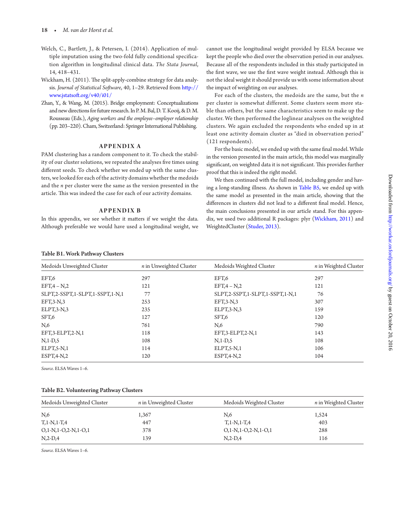- Welch, C., Bartlett, J., & Petersen, I. (2014). Application of multiple imputation using the two-fold fully conditional specification algorithm in longitudinal clinical data. *The Stata Journal*, 14, 418–431.
- Wickham, H. (2011). The split-apply-combine strategy for data analysis. *Journal of Statistical Sotware*, 40, 1–29. Retrieved from [htp://](http://www.jstatsoft.org/v40/i01/) [www.jstatsot.org/v40/i01/](http://www.jstatsoft.org/v40/i01/)
- Zhan, Y., & Wang, M. (2015). Bridge employment: Conceptualizations and new directions for future research. In P. M. Bal, D. T. Kooij, & D. M. Rousseau (Eds.), *Aging workers and the employee–employer relationship* (pp. 203–220). Cham, Switzerland: Springer International Publishing.

#### **APPENDIX A**

PAM clustering has a random component to it. To check the stability of our cluster solutions, we repeated the analyses five times using diferent seeds. To check whether we ended up with the same clusters, we looked for each of the activity domains whether the medoids and the *n* per cluster were the same as the version presented in the article. This was indeed the case for each of our activity domains.

#### **APPENDIX B**

In this appendix, we see whether it maters if we weight the data. Although preferable we would have used a longitudinal weight, we cannot use the longitudinal weight provided by ELSA because we kept the people who died over the observation period in our analyses. Because all of the respondents included in this study participated in the first wave, we use the first wave weight instead. Although this is not the ideal weight it should provide us with some information about the impact of weighting on our analyses.

For each of the clusters, the medoids are the same, but the *n* per cluster is somewhat different. Some clusters seem more stable than others, but the same characteristics seem to make up the cluster. We then performed the loglinear analyses on the weighted clusters. We again excluded the respondents who ended up in at least one activity domain cluster as "died in observation period" (121 respondents).

For the basic model, we ended up with the same final model. While in the version presented in the main article, this model was marginally significant, on weighted data it is not significant. This provides further proof that this is indeed the right model.

We then continued with the full model, including gender and having a long-standing illness. As shown in [Table B5,](#page-19-0) we ended up with the same model as presented in the main article, showing that the differences in clusters did not lead to a different final model. Hence, the main conclusions presented in our article stand. For this appendix, we used two additional R packages: plyr [\(Wickham, 2011\)](#page-17-3) and WeightedCluster ([Studer, 2013](#page-16-34)).

#### Table B1. Work Pathway Clusters

| Medoids Unweighted Cluster      | $n$ in Unweighted Cluster | Medoids Weighted Cluster        | $n$ in Weighted Cluster |
|---------------------------------|---------------------------|---------------------------------|-------------------------|
| EFT,6                           | 297                       | EFT,6                           | 297                     |
| $EFT,4-N,2$                     | 121                       | $EFT,4-N,2$                     | 121                     |
| SLPT,2-SSPT,1-SLPT,1-SSPT,1-N,1 | 77                        | SLPT,2-SSPT,1-SLPT,1-SSPT,1-N,1 | 76                      |
| $EFT, 3-N, 3$                   | 253                       | $EFT, 3-N, 3$                   | 307                     |
| $ELPT, 3-N, 3$                  | 235                       | $ELPT, 3-N, 3$                  | 159                     |
| SFT,6                           | 127                       | SFT <sub>6</sub>                | 120                     |
| $N_{0.6}$                       | 761                       | $N_{0.6}$                       | 790                     |
| EFT,3-ELPT,2-N,1                | 118                       | EFT,3-ELPT,2-N,1                | 143                     |
| $N,1-D,5$                       | 108                       | $N,1-D,5$                       | 108                     |
| ELPT, 5-N, 1                    | 114                       | ELPT, 5-N, 1                    | 106                     |
| $EST, 4-N, 2$                   | 120                       | $EST, 4-N, 2$                   | 104                     |

*Source.* ELSA Waves 1–6.

#### Table B2. Volunteering Pathway Clusters

| Medoids Unweighted Cluster | $n$ in Unweighted Cluster | Medoids Weighted Cluster | n in Weighted Cluster |
|----------------------------|---------------------------|--------------------------|-----------------------|
| $N_{,6}$                   | 1,367                     | N,6                      | 1,524                 |
| $T, 1-N, 1-T, 4$           | 447                       | $T, 1-N, 1-T, 4$         | 403                   |
| $O,1-N,1-O,2-N,1-O,1$      | 378                       | $O,1-N,1-O,2-N,1-O,1$    | 288                   |
| $N, 2-D, 4$                | 139                       | $N2-D4$                  | 116                   |

*Source.* ELSA Waves 1–6.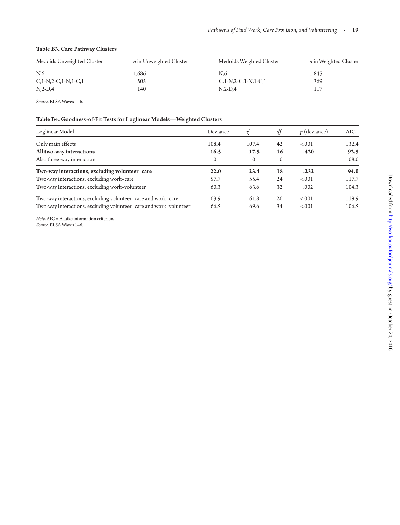#### Table B3. Care Pathway Clusters

| Medoids Unweighted Cluster | n in Unweighted Cluster | Medoids Weighted Cluster   | <i>n</i> in Weighted Cluster |
|----------------------------|-------------------------|----------------------------|------------------------------|
| N.6                        | 1,686                   | N.6                        | 1,845                        |
| $C, 1-N, 2-C, 1-N, 1-C, 1$ | 505                     | $C, 1-N, 2-C, 1-N, 1-C, 1$ | 369                          |
| $N12-D14$                  | 140                     | $N2-D4$                    | 117                          |

*Source.* ELSA Waves 1–6.

#### Table B4. Goodness-of-Fit Tests for Loglinear Models—Weighted Clusters

<span id="page-19-0"></span>

| Loglinear Model                                                   | Deviance | $\chi^2$     | df       | $p$ (deviance) | AIC.  |
|-------------------------------------------------------------------|----------|--------------|----------|----------------|-------|
| Only main effects                                                 | 108.4    | 107.4        | 42       | < .001         | 132.4 |
| All two-way interactions                                          | 16.5     | 17.5         | 16       | .420           | 92.5  |
| Also three-way interaction                                        | $\Omega$ | $\mathbf{0}$ | $\Omega$ |                | 108.0 |
| Two-way interactions, excluding volunteer-care                    | 22.0     | 23.4         | 18       | .232           | 94.0  |
| Two-way interactions, excluding work-care                         | 57.7     | 55.4         | 24       | < .001         | 117.7 |
| Two-way interactions, excluding work-volunteer                    | 60.3     | 63.6         | 32       | .002           | 104.3 |
| Two-way interactions, excluding volunteer-care and work-care      | 63.9     | 61.8         | 26       | < .001         | 119.9 |
| Two-way interactions, excluding volunteer–care and work–volunteer | 66.5     | 69.6         | 34       | < .001         | 106.5 |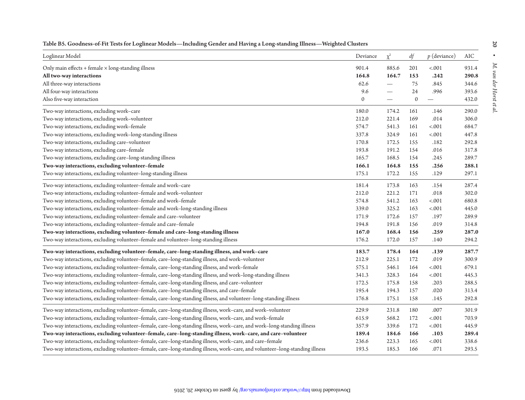| Loglinear Model                                                                                                              | Deviance     | $\chi^2$                 | df           | $p$ (deviance) | AIC   |
|------------------------------------------------------------------------------------------------------------------------------|--------------|--------------------------|--------------|----------------|-------|
| Only main effects $+$ female $\times$ long-standing illness                                                                  | 901.4        | 885.6                    | 201          | $-.001$        | 931.4 |
| All two-way interactions                                                                                                     | 164.8        | 164.7                    | 153          | .242           | 290.8 |
| All three-way interactions                                                                                                   | 62.6         |                          | 75           | .845           | 344.6 |
| All four-way interactions                                                                                                    | 9.6          | $\overline{\phantom{0}}$ | 24           | .996           | 393.6 |
| Also five-way interaction                                                                                                    | $\mathbf{0}$ |                          | $\mathbf{0}$ |                | 432.0 |
| Two-way interactions, excluding work-care                                                                                    | 180.0        | 174.2                    | 161          | .146           | 290.0 |
| Two-way interactions, excluding work-volunteer                                                                               | 212.0        | 221.4                    | 169          | .014           | 306.0 |
| Two-way interactions, excluding work-female                                                                                  | 574.7        | 541.3                    | 161          | $-.001$        | 684.7 |
| Two-way interactions, excluding work-long-standing illness                                                                   | 337.8        | 324.9                    | 161          | $-.001$        | 447.8 |
| Two-way interactions, excluding care-volunteer                                                                               | 170.8        | 172.5                    | 155          | .182           | 292.8 |
| Two-way interactions, excluding care-female                                                                                  | 193.8        | 191.2                    | 154          | .016           | 317.8 |
| Two-way interactions, excluding care-long-standing illness                                                                   | 165.7        | 168.5                    | 154          | .245           | 289.7 |
| Two-way interactions, excluding volunteer-female                                                                             | 166.1        | 164.8                    | 155          | .256           | 288.1 |
| Two-way interactions, excluding volunteer-long-standing illness                                                              | 175.1        | 172.2                    | 155          | .129           | 297.1 |
| Two-way interactions, excluding volunteer-female and work-care                                                               | 181.4        | 173.8                    | 163          | .154           | 287.4 |
| Two-way interactions, excluding volunteer-female and work-volunteer                                                          | 212.0        | 221.2                    | 171          | .018           | 302.0 |
| Two-way interactions, excluding volunteer-female and work-female                                                             | 574.8        | 541.2                    | 163          | $-.001$        | 680.8 |
| Two-way interactions, excluding volunteer-female and work-long-standing illness                                              | 339.0        | 325.2                    | 163          | < .001         | 445.0 |
| Two-way interactions, excluding volunteer-female and care-volunteer                                                          | 171.9        | 172.6                    | 157          | .197           | 289.9 |
| Two-way interactions, excluding volunteer-female and care-female                                                             | 194.8        | 191.8                    | 156          | .019           | 314.8 |
| Two-way interactions, excluding volunteer-female and care-long-standing illness                                              | 167.0        | 168.4                    | 156          | .259           | 287.0 |
| Two-way interactions, excluding volunteer-female and volunteer-long-standing illness                                         | 176.2        | 172.0                    | 157          | .140           | 294.2 |
| Two-way interactions, excluding volunteer-female, care-long-standing illness, and work-care                                  | 183.7        | 178.4                    | 164          | .139           | 287.7 |
| Two-way interactions, excluding volunteer-female, care-long-standing illness, and work-volunteer                             | 212.9        | 225.1                    | 172          | .019           | 300.9 |
| Two-way interactions, excluding volunteer-female, care-long-standing illness, and work-female                                | 575.1        | 546.1                    | 164          | $-.001$        | 679.1 |
| Two-way interactions, excluding volunteer-female, care-long-standing illness, and work-long-standing illness                 | 341.3        | 328.3                    | 164          | $-.001$        | 445.3 |
| Two-way interactions, excluding volunteer-female, care-long-standing illness, and care-volunteer                             | 172.5        | 175.8                    | 158          | .203           | 288.5 |
| Two-way interactions, excluding volunteer-female, care-long-standing illness, and care-female                                | 195.4        | 194.3                    | 157          | .020           | 313.4 |
| Two-way interactions, excluding volunteer-female, care-long-standing illness, and volunteer-long-standing illness            | 176.8        | 175.1                    | 158          | .145           | 292.8 |
| Two-way interactions, excluding volunteer-female, care-long-standing illness, work-care, and work-volunteer                  | 229.9        | 231.8                    | 180          | .007           | 301.9 |
| Two-way interactions, excluding volunteer-female, care-long-standing illness, work-care, and work-female                     | 615.9        | 568.2                    | 172          | $-.001$        | 703.9 |
| Two-way interactions, excluding volunteer-female, care-long-standing illness, work-care, and work-long-standing illness      | 357.9        | 339.6                    | 172          | $-.001$        | 445.9 |
| Two-way interactions, excluding volunteer-female, care-long-standing illness, work-care, and care-volunteer                  | 189.4        | 184.6                    | 166          | .103           | 289.4 |
| Two-way interactions, excluding volunteer-female, care-long-standing illness, work-care, and care-female                     | 236.6        | 223.3                    | 165          | $-.001$        | 338.6 |
| Two-way interactions, excluding volunteer-female, care-long-standing illness, work-care, and volunteer-long-standing illness | 193.5        | 185.3                    | 166          | .071           | 293.5 |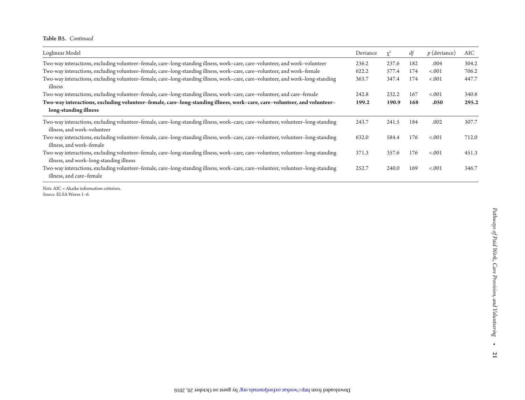Table B5. *Continued*

| Loglinear Model                                                                                                                                                             | Deviance | $\mathcal{V}^{\mathcal{L}}$ | dt  | $p$ (deviance) | AIC   |
|-----------------------------------------------------------------------------------------------------------------------------------------------------------------------------|----------|-----------------------------|-----|----------------|-------|
| Two-way interactions, excluding volunteer-female, care-long-standing illness, work-care, care-volunteer, and work-volunteer                                                 | 236.2    | 237.6                       | 182 | .004           | 304.2 |
| Two-way interactions, excluding volunteer-female, care-long-standing illness, work-care, care-volunteer, and work-female                                                    | 622.2    | 577.4                       | 174 | $-.001$        | 706.2 |
| Two-way interactions, excluding volunteer-female, care-long-standing illness, work-care, care-volunteer, and work-long-standing<br>illness                                  | 363.7    | 347.4                       | 174 | < .001         | 447.7 |
| Two-way interactions, excluding volunteer-female, care-long-standing illness, work-care, care-volunteer, and care-female                                                    | 242.8    | 232.2                       | 167 | $-.001$        | 340.8 |
| Two-way interactions, excluding volunteer-female, care-long-standing illness, work-care, care-volunteer, and volunteer-<br>long-standing illness                            | 199.2    | 190.9                       | 168 | .050           | 295.2 |
| Two-way interactions, excluding volunteer-female, care-long-standing illness, work-care, care-volunteer, volunteer-long-standing<br>illness, and work-volunteer             | 243.7    | 241.5                       | 184 | .002           | 307.7 |
| Two-way interactions, excluding volunteer-female, care-long-standing illness, work-care, care-volunteer, volunteer-long-standing<br>illness, and work-female                | 632.0    | 584.4                       | 176 | < .001         | 712.0 |
| Two-way interactions, excluding volunteer-female, care-long-standing illness, work-care, care-volunteer, volunteer-long-standing<br>illness, and work-long-standing illness | 371.3    | 357.6                       | 176 | < .001         | 451.3 |
| Two-way interactions, excluding volunteer-female, care-long-standing illness, work-care, care-volunteer, volunteer-long-standing<br>illness, and care-female                | 252.7    | 240.0                       | 169 | $-.001$        | 346.7 |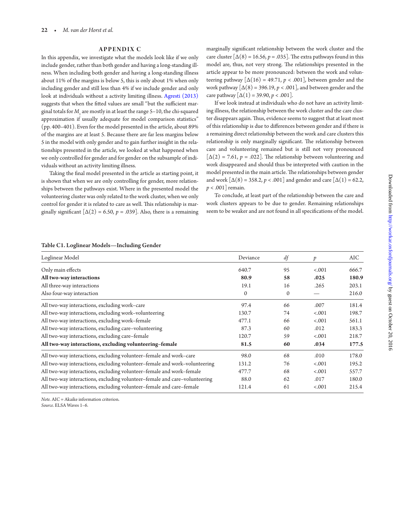#### **APPENDIX C**

In this appendix, we investigate what the models look like if we only include gender, rather than both gender and having a long-standing illness. When including both gender and having a long-standing illness about 11% of the margins is below 5, this is only about 1% when only including gender and still less than 4% if we include gender and only look at individuals without a activity limiting illness. [Agresti \(2013\)](#page-14-6) suggests that when the fitted values are small "but the sufficient marginal totals for  $M_{\rm_1}$  are mostly in at least the range 5–10, the chi-squared approximation if usually adequate for model comparison statistics" (pp. 400–401). Even for the model presented in the article, about 89% of the margins are at least 5. Because there are far less margins below 5 in the model with only gender and to gain further insight in the relationships presented in the article, we looked at what happened when we only controlled for gender and for gender on the subsample of individuals without an activity limiting illness.

Taking the final model presented in the article as starting point, it is shown that when we are only controlling for gender, more relationships between the pathways exist. Where in the presented model the volunteering cluster was only related to the work cluster, when we only control for gender it is related to care as well. This relationship is marginally significant  $[\Delta(2) = 6.50, p = .039]$ . Also, there is a remaining

marginally significant relationship between the work cluster and the care cluster  $[\Delta(8) = 16.56, p = .035]$ . The extra pathways found in this model are, thus, not very strong. The relationships presented in the article appear to be more pronounced: between the work and volunteering pathway  $[\Delta(16) = 49.71, p < .001]$ , between gender and the work pathway  $[\Delta(8) = 396.19, p < .001]$ , and between gender and the care pathway  $[\Delta(1) = 39.90, p < .001]$ .

If we look instead at individuals who do not have an activity limiting illness, the relationship between the work cluster and the care cluster disappears again. Thus, evidence seems to suggest that at least most of this relationship is due to diferences between gender and if there is a remaining direct relationship between the work and care clusters this relationship is only marginally significant. The relationship between care and volunteering remained but is still not very pronounced  $[\Delta(2) = 7.61, p = .022]$ . The relationship between volunteering and work disappeared and should thus be interpreted with caution in the model presented in the main article. The relationships between gender and work  $[\Delta(8) = 358.2, p < .001]$  and gender and care  $[\Delta(1) = 62.2,$ *p* < .001] remain.

To conclude, at least part of the relationship between the care and work clusters appears to be due to gender. Remaining relationships seem to be weaker and are not found in all specifications of the model.

#### Table C1. Loglinear Models—Including Gender

| Loglinear Model                                                            | Deviance     | df           | $\boldsymbol{p}$ | AIC.  |
|----------------------------------------------------------------------------|--------------|--------------|------------------|-------|
| Only main effects                                                          | 640.7        | 95           | < .001           | 666.7 |
| All two-way interactions                                                   | 80.9         | 58           | .025             | 180.9 |
| All three-way interactions                                                 | 19.1         | 16           | .265             | 203.1 |
| Also four-way interaction                                                  | $\mathbf{0}$ | $\mathbf{0}$ |                  | 216.0 |
| All two-way interactions, excluding work-care                              | 97.4         | 66           | .007             | 181.4 |
| All two-way interactions, excluding work-volunteering                      | 130.7        | 74           | $-.001$          | 198.7 |
| All two-way interactions, excluding work-female                            | 477.1        | 66           | $-.001$          | 561.1 |
| All two-way interactions, excluding care-volunteering                      | 87.3         | 60           | .012             | 183.3 |
| All two-way interactions, excluding care-female                            | 120.7        | 59           | < .001           | 218.7 |
| All two-way interactions, excluding volunteering-female                    | 81.5         | 60           | .034             | 177.5 |
| All two-way interactions, excluding volunteer-female and work-care         | 98.0         | 68           | .010             | 178.0 |
| All two-way interactions, excluding volunteer-female and work-volunteering | 131.2        | 76           | < .001           | 195.2 |
| All two-way interactions, excluding volunteer–female and work–female       | 477.7        | 68           | < .001           | 557.7 |
| All two-way interactions, excluding volunteer-female and care-volunteering | 88.0         | 62           | .017             | 180.0 |
| All two-way interactions, excluding volunteer-female and care-female       | 121.4        | 61           | < .001           | 215.4 |